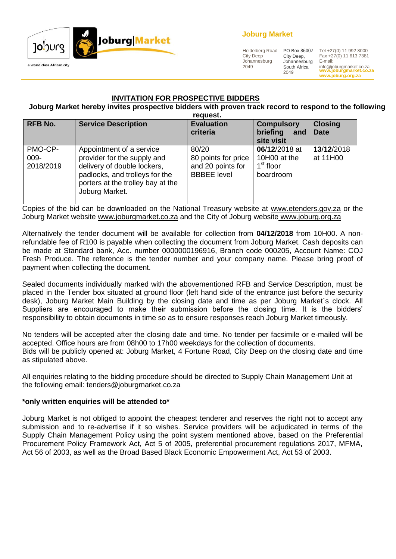

### **Joburg Market**

Heidelberg Road City Deep Johannesburg 2049

City Deep, Johannesburg South Africa 2049

**www.joburgmarket.co.za** info@joburgmarket.co.za **www.joburg.org.za** PO Box 86007 Tel +27(0) 11 992 8000 Fax +27(0) 11 613 7381 E-mail:

#### **INVITATION FOR PROSPECTIVE BIDDERS**

#### **Joburg Market hereby invites prospective bidders with proven track record to respond to the following request.**

| <b>RFB No.</b>               | <b>Service Description</b>                                                                                                                                                      | <b>Evaluation</b><br>criteria                                           | <b>Compulsory</b><br>briefing<br>and<br>site visit        | <b>Closing</b><br><b>Date</b> |
|------------------------------|---------------------------------------------------------------------------------------------------------------------------------------------------------------------------------|-------------------------------------------------------------------------|-----------------------------------------------------------|-------------------------------|
| PMO-CP-<br>009-<br>2018/2019 | Appointment of a service<br>provider for the supply and<br>delivery of double lockers,<br>padlocks, and trolleys for the<br>porters at the trolley bay at the<br>Joburg Market. | 80/20<br>80 points for price<br>and 20 points for<br><b>BBBEE</b> level | 06/12/2018 at<br>10H00 at the<br>$1st$ floor<br>boardroom | 13/12/2018<br>at 11H00        |

Copies of the bid can be downloaded on the National Treasury website at [www.etenders.gov.za](http://www.etenders.gov.za/) or the Joburg Market website [www.joburgmarket.co.za](http://www.joburgmarket.co.za/) and the City of Joburg website [www.joburg.org.za](http://www.joburg.org.za/)

Alternatively the tender document will be available for collection from **04/12/2018** from 10H00. A nonrefundable fee of R100 is payable when collecting the document from Joburg Market. Cash deposits can be made at Standard bank, Acc. number 0000000196916, Branch code 000205, Account Name: COJ Fresh Produce. The reference is the tender number and your company name. Please bring proof of payment when collecting the document.

Sealed documents individually marked with the abovementioned RFB and Service Description, must be placed in the Tender box situated at ground floor (left hand side of the entrance just before the security desk), Joburg Market Main Building by the closing date and time as per Joburg Market`s clock. All Suppliers are encouraged to make their submission before the closing time. It is the bidders' responsibility to obtain documents in time so as to ensure responses reach Joburg Market timeously.

No tenders will be accepted after the closing date and time. No tender per facsimile or e-mailed will be accepted. Office hours are from 08h00 to 17h00 weekdays for the collection of documents. Bids will be publicly opened at: Joburg Market, 4 Fortune Road, City Deep on the closing date and time as stipulated above.

All enquiries relating to the bidding procedure should be directed to Supply Chain Management Unit at the following email: tenders@joburgmarket.co.za

#### **\*only written enquiries will be attended to\***

Joburg Market is not obliged to appoint the cheapest tenderer and reserves the right not to accept any submission and to re-advertise if it so wishes. Service providers will be adjudicated in terms of the Supply Chain Management Policy using the point system mentioned above, based on the Preferential Procurement Policy Framework Act, Act 5 of 2005, preferential procurement regulations 2017, MFMA, Act 56 of 2003, as well as the Broad Based Black Economic Empowerment Act, Act 53 of 2003.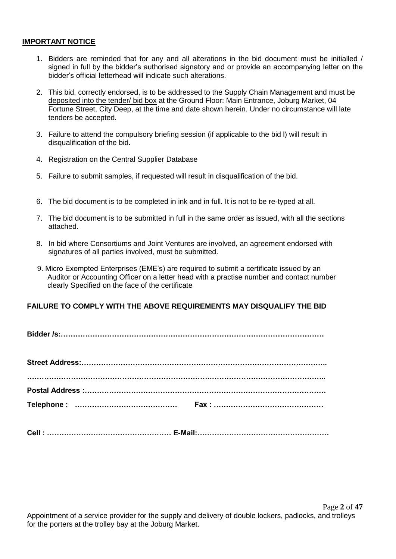#### **IMPORTANT NOTICE**

- 1. Bidders are reminded that for any and all alterations in the bid document must be initialled / signed in full by the bidder's authorised signatory and or provide an accompanying letter on the bidder's official letterhead will indicate such alterations.
- 2. This bid, correctly endorsed, is to be addressed to the Supply Chain Management and must be deposited into the tender/ bid box at the Ground Floor: Main Entrance, Joburg Market, 04 Fortune Street, City Deep, at the time and date shown herein. Under no circumstance will late tenders be accepted.
- 3. Failure to attend the compulsory briefing session (if applicable to the bid l) will result in disqualification of the bid.
- 4. Registration on the Central Supplier Database
- 5. Failure to submit samples, if requested will result in disqualification of the bid.
- 6. The bid document is to be completed in ink and in full. It is not to be re-typed at all.
- 7. The bid document is to be submitted in full in the same order as issued, with all the sections attached.
- 8. In bid where Consortiums and Joint Ventures are involved, an agreement endorsed with signatures of all parties involved, must be submitted.
- 9. Micro Exempted Enterprises (EME's) are required to submit a certificate issued by an Auditor or Accounting Officer on a letter head with a practise number and contact number clearly Specified on the face of the certificate

#### **FAILURE TO COMPLY WITH THE ABOVE REQUIREMENTS MAY DISQUALIFY THE BID**

**Cell : …………………………………………… E-Mail:………………………………………………**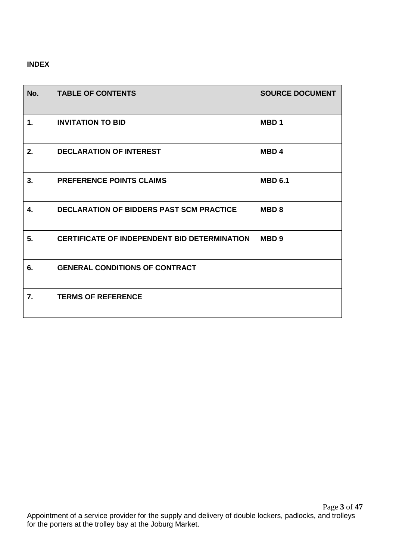### **INDEX**

| No. | <b>TABLE OF CONTENTS</b>                            | <b>SOURCE DOCUMENT</b> |
|-----|-----------------------------------------------------|------------------------|
| 1.  | <b>INVITATION TO BID</b>                            | MBD <sub>1</sub>       |
| 2.  | <b>DECLARATION OF INTEREST</b>                      | MBD <sub>4</sub>       |
| 3.  | <b>PREFERENCE POINTS CLAIMS</b>                     | <b>MBD 6.1</b>         |
| 4.  | <b>DECLARATION OF BIDDERS PAST SCM PRACTICE</b>     | <b>MBD8</b>            |
| 5.  | <b>CERTIFICATE OF INDEPENDENT BID DETERMINATION</b> | MBD <sub>9</sub>       |
| 6.  | <b>GENERAL CONDITIONS OF CONTRACT</b>               |                        |
| 7.  | <b>TERMS OF REFERENCE</b>                           |                        |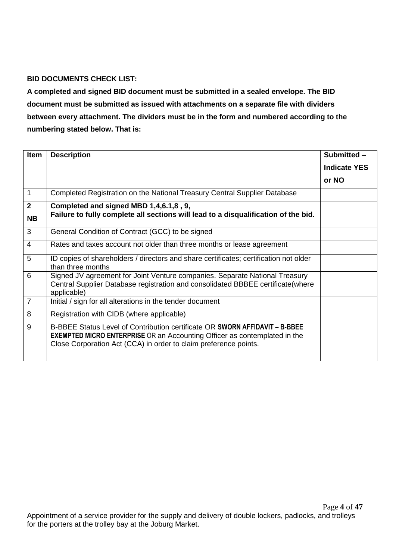### **BID DOCUMENTS CHECK LIST:**

**A completed and signed BID document must be submitted in a sealed envelope. The BID document must be submitted as issued with attachments on a separate file with dividers between every attachment. The dividers must be in the form and numbered according to the numbering stated below. That is:**

| Item                        | <b>Description</b>                                                                                                                                                                                                                  | Submitted -         |
|-----------------------------|-------------------------------------------------------------------------------------------------------------------------------------------------------------------------------------------------------------------------------------|---------------------|
|                             |                                                                                                                                                                                                                                     | <b>Indicate YES</b> |
|                             |                                                                                                                                                                                                                                     | or NO               |
| 1                           | Completed Registration on the National Treasury Central Supplier Database                                                                                                                                                           |                     |
| $\overline{2}$<br><b>NB</b> | Completed and signed MBD 1,4,6.1,8, 9,<br>Failure to fully complete all sections will lead to a disqualification of the bid.                                                                                                        |                     |
| 3                           | General Condition of Contract (GCC) to be signed                                                                                                                                                                                    |                     |
| 4                           | Rates and taxes account not older than three months or lease agreement                                                                                                                                                              |                     |
| 5                           | ID copies of shareholders / directors and share certificates; certification not older<br>than three months                                                                                                                          |                     |
| 6                           | Signed JV agreement for Joint Venture companies. Separate National Treasury<br>Central Supplier Database registration and consolidated BBBEE certificate(where<br>applicable)                                                       |                     |
| $\overline{7}$              | Initial / sign for all alterations in the tender document                                                                                                                                                                           |                     |
| 8                           | Registration with CIDB (where applicable)                                                                                                                                                                                           |                     |
| 9                           | B-BBEE Status Level of Contribution certificate OR SWORN AFFIDAVIT - B-BBEE<br><b>EXEMPTED MICRO ENTERPRISE OR an Accounting Officer as contemplated in the</b><br>Close Corporation Act (CCA) in order to claim preference points. |                     |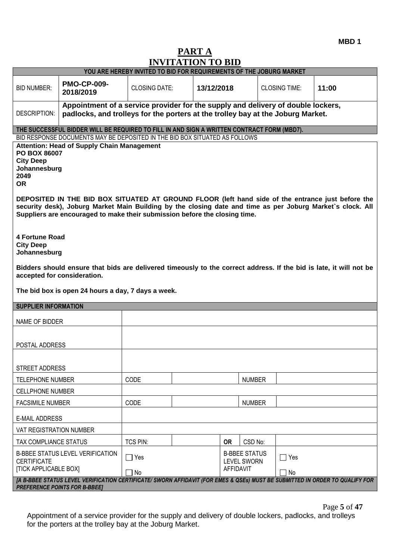**MBD 1**

# **PART A INVITATION TO BID**

|                                                                                                                                                                                                                                                                                                                                                                                                                                                                                                           | INVITATION TO BID<br>YOU ARE HEREBY INVITED TO BID FOR REQUIREMENTS OF THE JOBURG MARKET                                                                            |                      |            |                                                                |                      |       |  |
|-----------------------------------------------------------------------------------------------------------------------------------------------------------------------------------------------------------------------------------------------------------------------------------------------------------------------------------------------------------------------------------------------------------------------------------------------------------------------------------------------------------|---------------------------------------------------------------------------------------------------------------------------------------------------------------------|----------------------|------------|----------------------------------------------------------------|----------------------|-------|--|
|                                                                                                                                                                                                                                                                                                                                                                                                                                                                                                           |                                                                                                                                                                     |                      |            |                                                                |                      |       |  |
| <b>PMO-CP-009-</b><br><b>BID NUMBER:</b><br>2018/2019                                                                                                                                                                                                                                                                                                                                                                                                                                                     |                                                                                                                                                                     | <b>CLOSING DATE:</b> | 13/12/2018 |                                                                | <b>CLOSING TIME:</b> | 11:00 |  |
| DESCRIPTION:                                                                                                                                                                                                                                                                                                                                                                                                                                                                                              | Appointment of a service provider for the supply and delivery of double lockers,<br>padlocks, and trolleys for the porters at the trolley bay at the Joburg Market. |                      |            |                                                                |                      |       |  |
| THE SUCCESSFUL BIDDER WILL BE REQUIRED TO FILL IN AND SIGN A WRITTEN CONTRACT FORM (MBD7).                                                                                                                                                                                                                                                                                                                                                                                                                |                                                                                                                                                                     |                      |            |                                                                |                      |       |  |
| BID RESPONSE DOCUMENTS MAY BE DEPOSITED IN THE BID BOX SITUATED AS FOLLOWS<br><b>Attention: Head of Supply Chain Management</b><br>PO BOX 86007<br><b>City Deep</b><br>Johannesburg<br>2049<br><b>OR</b><br>DEPOSITED IN THE BID BOX SITUATED AT GROUND FLOOR (left hand side of the entrance just before the<br>security desk), Joburg Market Main Building by the closing date and time as per Joburg Market's clock. All<br>Suppliers are encouraged to make their submission before the closing time. |                                                                                                                                                                     |                      |            |                                                                |                      |       |  |
| <b>4 Fortune Road</b><br><b>City Deep</b><br>Johannesburg<br>Bidders should ensure that bids are delivered timeously to the correct address. If the bid is late, it will not be<br>accepted for consideration.                                                                                                                                                                                                                                                                                            |                                                                                                                                                                     |                      |            |                                                                |                      |       |  |
| The bid box is open 24 hours a day, 7 days a week.                                                                                                                                                                                                                                                                                                                                                                                                                                                        |                                                                                                                                                                     |                      |            |                                                                |                      |       |  |
| <b>SUPPLIER INFORMATION</b>                                                                                                                                                                                                                                                                                                                                                                                                                                                                               |                                                                                                                                                                     |                      |            |                                                                |                      |       |  |
| NAME OF BIDDER                                                                                                                                                                                                                                                                                                                                                                                                                                                                                            |                                                                                                                                                                     |                      |            |                                                                |                      |       |  |
| POSTAL ADDRESS                                                                                                                                                                                                                                                                                                                                                                                                                                                                                            |                                                                                                                                                                     |                      |            |                                                                |                      |       |  |
| STREET ADDRESS                                                                                                                                                                                                                                                                                                                                                                                                                                                                                            |                                                                                                                                                                     |                      |            |                                                                |                      |       |  |
| <b>TELEPHONE NUMBER</b>                                                                                                                                                                                                                                                                                                                                                                                                                                                                                   | CODE                                                                                                                                                                |                      |            | <b>NUMBER</b>                                                  |                      |       |  |
| <b>CELLPHONE NUMBER</b>                                                                                                                                                                                                                                                                                                                                                                                                                                                                                   |                                                                                                                                                                     |                      |            |                                                                |                      |       |  |
| <b>FACSIMILE NUMBER</b>                                                                                                                                                                                                                                                                                                                                                                                                                                                                                   | CODE                                                                                                                                                                |                      |            | <b>NUMBER</b>                                                  |                      |       |  |
| <b>E-MAIL ADDRESS</b>                                                                                                                                                                                                                                                                                                                                                                                                                                                                                     |                                                                                                                                                                     |                      |            |                                                                |                      |       |  |
| VAT REGISTRATION NUMBER                                                                                                                                                                                                                                                                                                                                                                                                                                                                                   |                                                                                                                                                                     |                      |            |                                                                |                      |       |  |
| TAX COMPLIANCE STATUS                                                                                                                                                                                                                                                                                                                                                                                                                                                                                     | <b>TCS PIN:</b>                                                                                                                                                     |                      | <b>OR</b>  | CSD No:                                                        |                      |       |  |
| <b>B-BBEE STATUS LEVEL VERIFICATION</b><br><b>CERTIFICATE</b><br><b>[TICK APPLICABLE BOX]</b>                                                                                                                                                                                                                                                                                                                                                                                                             | $\Box$ Yes<br>$\Box$ No                                                                                                                                             |                      |            | <b>B-BBEE STATUS</b><br><b>LEVEL SWORN</b><br><b>AFFIDAVIT</b> | Yes<br>No            |       |  |
| [A B-BBEE STATUS LEVEL VERIFICATION CERTIFICATE/ SWORN AFFIDAVIT (FOR EMES & QSEs) MUST BE SUBMITTED IN ORDER TO QUALIFY FOR<br><b>PREFERENCE POINTS FOR B-BBEEJ</b>                                                                                                                                                                                                                                                                                                                                      |                                                                                                                                                                     |                      |            |                                                                |                      |       |  |

Page **5** of **47**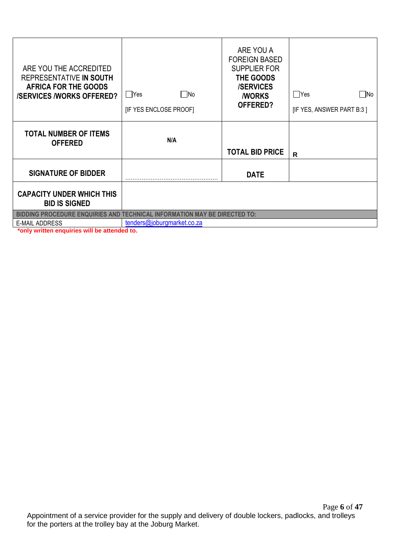| ARE YOU THE ACCREDITED<br>REPRESENTATIVE IN SOUTH<br>AFRICA FOR THE GOODS<br><b>/SERVICES /WORKS OFFERED?</b> | $\Box$ Yes<br>∏No<br>[IF YES ENCLOSE PROOF] | ARE YOU A<br><b>FOREIGN BASED</b><br><b>SUPPLIER FOR</b><br>THE GOODS<br><b>/SERVICES</b><br><b><i>NORKS</i></b><br>OFFERED? | Yes<br>- INo<br>[IF YES, ANSWER PART B:3] |
|---------------------------------------------------------------------------------------------------------------|---------------------------------------------|------------------------------------------------------------------------------------------------------------------------------|-------------------------------------------|
| <b>TOTAL NUMBER OF ITEMS</b><br><b>OFFERED</b>                                                                | N/A                                         | <b>TOTAL BID PRICE</b>                                                                                                       | R                                         |
| <b>SIGNATURE OF BIDDER</b>                                                                                    |                                             | <b>DATE</b>                                                                                                                  |                                           |
| <b>CAPACITY UNDER WHICH THIS</b><br><b>BID IS SIGNED</b>                                                      |                                             |                                                                                                                              |                                           |
| BIDDING PROCEDURE ENQUIRIES AND TECHNICAL INFORMATION MAY BE DIRECTED TO:                                     |                                             |                                                                                                                              |                                           |
| <b>E-MAIL ADDRESS</b><br>                                                                                     | tenders@joburgmarket.co.za                  |                                                                                                                              |                                           |

**\*only written enquiries will be attended to.**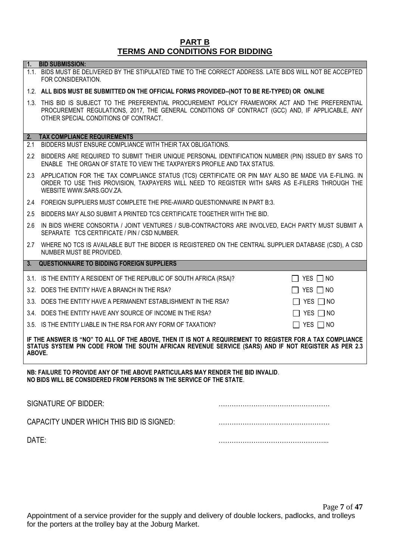#### **PART B TERMS AND CONDITIONS FOR BIDDING**

1.1. BIDS MUST BE DELIVERED BY THE STIPULATED TIME TO THE CORRECT ADDRESS. LATE BIDS WILL NOT BE ACCEPTED

**1. BID SUBMISSION:**

# FOR CONSIDERATION. 1.2. **ALL BIDS MUST BE SUBMITTED ON THE OFFICIAL FORMS PROVIDED–(NOT TO BE RE-TYPED) OR ONLINE** 1.3. THIS BID IS SUBJECT TO THE PREFERENTIAL PROCUREMENT POLICY FRAMEWORK ACT AND THE PREFERENTIAL PROCUREMENT REGULATIONS, 2017, THE GENERAL CONDITIONS OF CONTRACT (GCC) AND, IF APPLICABLE, ANY OTHER SPECIAL CONDITIONS OF CONTRACT. **2. TAX COMPLIANCE REQUIREMENTS** 2.1 BIDDERS MUST ENSURE COMPLIANCE WITH THEIR TAX OBLIGATIONS. 2.2 BIDDERS ARE REQUIRED TO SUBMIT THEIR UNIQUE PERSONAL IDENTIFICATION NUMBER (PIN) ISSUED BY SARS TO ENABLE THE ORGAN OF STATE TO VIEW THE TAXPAYER'S PROFILE AND TAX STATUS. 2.3 APPLICATION FOR THE TAX COMPLIANCE STATUS (TCS) CERTIFICATE OR PIN MAY ALSO BE MADE VIA E-FILING. IN ORDER TO USE THIS PROVISION, TAXPAYERS WILL NEED TO REGISTER WITH SARS AS E-FILERS THROUGH THE WEBSITE [WWW.SARS.GOV.ZA.](http://www.sars.gov.za/) 2.4 FOREIGN SUPPLIERS MUST COMPLETE THE PRE-AWARD QUESTIONNAIRE IN PART B:3. 2.5 BIDDERS MAY ALSO SUBMIT A PRINTED TCS CERTIFICATE TOGETHER WITH THE BID. 2.6 IN BIDS WHERE CONSORTIA / JOINT VENTURES / SUB-CONTRACTORS ARE INVOLVED, EACH PARTY MUST SUBMIT A SEPARATE TCS CERTIFICATE / PIN / CSD NUMBER. 2.7 WHERE NO TCS IS AVAILABLE BUT THE BIDDER IS REGISTERED ON THE CENTRAL SUPPLIER DATABASE (CSD), A CSD NUMBER MUST BE PROVIDED. **3. QUESTIONNAIRE TO BIDDING FOREIGN SUPPLIERS** 3.1. IS THE ENTITY A RESIDENT OF THE REPUBLIC OF SOUTH AFRICA (RSA)?  $\Box$  YES  $\Box$  NO 3.2. DOES THE ENTITY HAVE A BRANCH IN THE RSA?  $\Box$  YES  $\Box$  NO 3.3. DOES THE ENTITY HAVE A PERMANENT ESTABLISHMENT IN THE RSA?  $\Box$  YES  $\Box$  NO 3.4. DOES THE ENTITY HAVE ANY SOURCE OF INCOME IN THE RSA?  $\Box$  YES  $\Box$  NO 3.5. IS THE ENTITY LIABLE IN THE RSA FOR ANY FORM OF TAXATION?  $\Box$  YES  $\Box$  NO

**IF THE ANSWER IS "NO" TO ALL OF THE ABOVE, THEN IT IS NOT A REQUIREMENT TO REGISTER FOR A TAX COMPLIANCE STATUS SYSTEM PIN CODE FROM THE SOUTH AFRICAN REVENUE SERVICE (SARS) AND IF NOT REGISTER AS PER 2.3 ABOVE.**

**NB: FAILURE TO PROVIDE ANY OF THE ABOVE PARTICULARS MAY RENDER THE BID INVALID**. **NO BIDS WILL BE CONSIDERED FROM PERSONS IN THE SERVICE OF THE STATE**.

| SIGNATURE OF BIDDER:                     |  |
|------------------------------------------|--|
| CAPACITY UNDER WHICH THIS BID IS SIGNED: |  |
| DATE:                                    |  |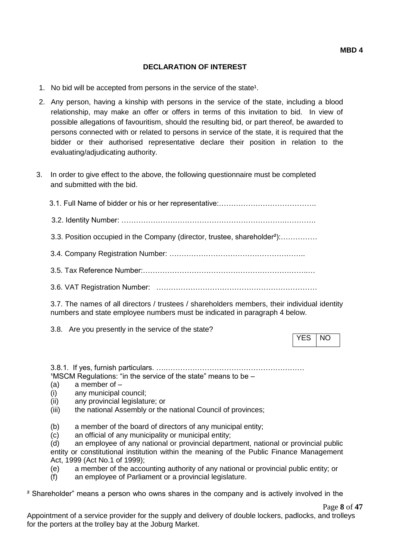### **DECLARATION OF INTEREST**

- 1. No bid will be accepted from persons in the service of the state<sup>1</sup>.
- 2. Any person, having a kinship with persons in the service of the state, including a blood relationship, may make an offer or offers in terms of this invitation to bid. In view of possible allegations of favouritism, should the resulting bid, or part thereof, be awarded to persons connected with or related to persons in service of the state, it is required that the bidder or their authorised representative declare their position in relation to the evaluating/adjudicating authority.
- 3. In order to give effect to the above, the following questionnaire must be completed and submitted with the bid.

3.1. Full Name of bidder or his or her representative:………………………………….

3.2. Identity Number: ………………………………………………………….………….

3.3. Position occupied in the Company (director, trustee, shareholder²):……………

3.4. Company Registration Number: ………………………………………………..

- 3.5. Tax Reference Number:…………………………………………………………..…
- 3.6. VAT Registration Number: …………………………………………………………

3.7. The names of all directors / trustees / shareholders members, their individual identity numbers and state employee numbers must be indicated in paragraph 4 below.

3.8. Are you presently in the service of the state?

YES NO

3.8.1. If yes, furnish particulars. ….…………………………………………………  $1$ MSCM Regulations: "in the service of the state" means to be  $-$ 

- (a) a member of –
- (i) any municipal council;
- (ii) any provincial legislature; or
- (iii) the national Assembly or the national Council of provinces;

(b) a member of the board of directors of any municipal entity;

(c) an official of any municipality or municipal entity;

(d) an employee of any national or provincial department, national or provincial public entity or constitutional institution within the meaning of the Public Finance Management Act, 1999 (Act No.1 of 1999);

(e) a member of the accounting authority of any national or provincial public entity; or

(f) an employee of Parliament or a provincial legislature.

² Shareholder" means a person who owns shares in the company and is actively involved in the

Page **8** of **47**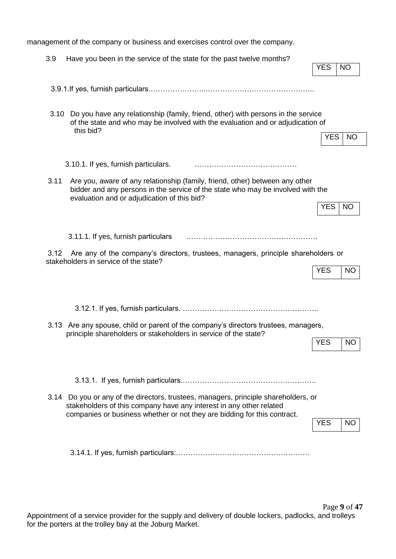management of the company or business and exercises control over the company.

| 3.9  | Have you been in the service of the state for the past twelve months?                                                                                                                                                                  | <b>YES</b> | <b>NO</b> |
|------|----------------------------------------------------------------------------------------------------------------------------------------------------------------------------------------------------------------------------------------|------------|-----------|
|      |                                                                                                                                                                                                                                        |            |           |
| 3.10 | Do you have any relationship (family, friend, other) with persons in the service<br>of the state and who may be involved with the evaluation and or adjudication of<br>this bid?                                                       | <b>YES</b> | <b>NO</b> |
|      | 3.10.1. If yes, furnish particulars.                                                                                                                                                                                                   |            |           |
| 3.11 | Are you, aware of any relationship (family, friend, other) between any other<br>bidder and any persons in the service of the state who may be involved with the<br>evaluation and or adjudication of this bid?                         | YES        | <b>NO</b> |
|      | 3.11.1. If yes, furnish particulars                                                                                                                                                                                                    |            |           |
| 3.12 | Are any of the company's directors, trustees, managers, principle shareholders or<br>stakeholders in service of the state?                                                                                                             | <b>YES</b> | <b>NO</b> |
|      |                                                                                                                                                                                                                                        |            |           |
|      | 3.13 Are any spouse, child or parent of the company's directors trustees, managers,<br>principle shareholders or stakeholders in service of the state?                                                                                 | <b>YES</b> | <b>NO</b> |
|      |                                                                                                                                                                                                                                        |            |           |
|      | 3.14 Do you or any of the directors, trustees, managers, principle shareholders, or<br>stakeholders of this company have any interest in any other related<br>companies or business whether or not they are bidding for this contract. |            |           |
|      |                                                                                                                                                                                                                                        | <b>YES</b> | <b>NO</b> |
|      |                                                                                                                                                                                                                                        |            |           |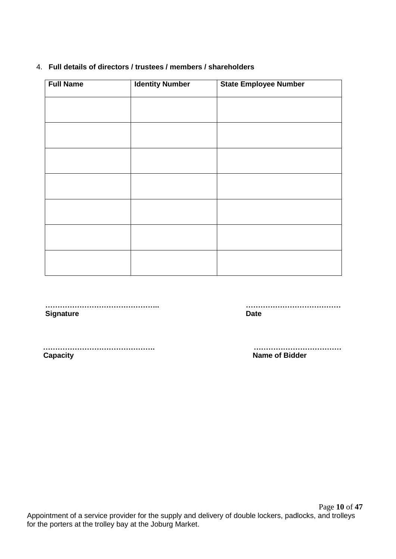#### 4. **Full details of directors / trustees / members / shareholders**

| <b>Full Name</b> | <b>Identity Number</b> | <b>State Employee Number</b> |
|------------------|------------------------|------------------------------|
|                  |                        |                              |
|                  |                        |                              |
|                  |                        |                              |
|                  |                        |                              |
|                  |                        |                              |
|                  |                        |                              |
|                  |                        |                              |
|                  |                        |                              |
|                  |                        |                              |
|                  |                        |                              |
|                  |                        |                              |
|                  |                        |                              |
|                  |                        |                              |
|                  |                        |                              |

 **……………………………………….. ………………………………… Signature Date** 

 **………………………………………. ……………………………… Capacity Capacity Capacity Capacity Capacity Capacity Capacity Capacity Capacity Capacity Capacity Capacity Capacity Capacity Capacity Capacity Capacity Capacity Capacity Capacity C**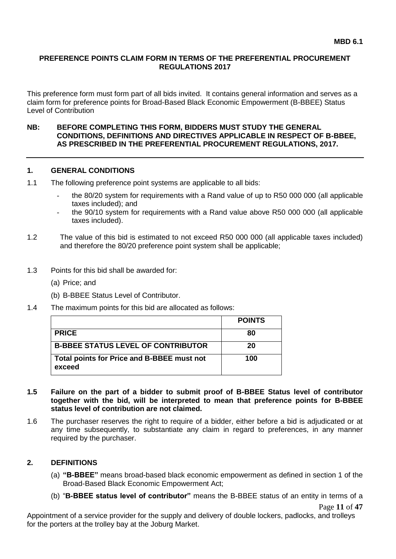#### **PREFERENCE POINTS CLAIM FORM IN TERMS OF THE PREFERENTIAL PROCUREMENT REGULATIONS 2017**

This preference form must form part of all bids invited. It contains general information and serves as a claim form for preference points for Broad-Based Black Economic Empowerment (B-BBEE) Status Level of Contribution

#### **NB: BEFORE COMPLETING THIS FORM, BIDDERS MUST STUDY THE GENERAL CONDITIONS, DEFINITIONS AND DIRECTIVES APPLICABLE IN RESPECT OF B-BBEE, AS PRESCRIBED IN THE PREFERENTIAL PROCUREMENT REGULATIONS, 2017.**

#### **1. GENERAL CONDITIONS**

- 1.1 The following preference point systems are applicable to all bids:
	- the 80/20 system for requirements with a Rand value of up to R50 000 000 (all applicable taxes included); and
	- the 90/10 system for requirements with a Rand value above R50 000 000 (all applicable taxes included).
- 1.2 The value of this bid is estimated to not exceed R50 000 000 (all applicable taxes included) and therefore the 80/20 preference point system shall be applicable;
- 1.3 Points for this bid shall be awarded for:
	- (a) Price; and
	- (b) B-BBEE Status Level of Contributor.
- 1.4 The maximum points for this bid are allocated as follows:

|                                                      | <b>POINTS</b> |
|------------------------------------------------------|---------------|
| <b>PRICE</b>                                         | 80            |
| <b>B-BBEE STATUS LEVEL OF CONTRIBUTOR</b>            | 20            |
| Total points for Price and B-BBEE must not<br>exceed | 100           |

- **1.5 Failure on the part of a bidder to submit proof of B-BBEE Status level of contributor together with the bid, will be interpreted to mean that preference points for B-BBEE status level of contribution are not claimed.**
- 1.6 The purchaser reserves the right to require of a bidder, either before a bid is adjudicated or at any time subsequently, to substantiate any claim in regard to preferences, in any manner required by the purchaser.

#### **2. DEFINITIONS**

- (a) **"B-BBEE"** means broad-based black economic empowerment as defined in section 1 of the Broad-Based Black Economic Empowerment Act;
- (b) "**B-BBEE status level of contributor"** means the B-BBEE status of an entity in terms of a

Page **11** of **47**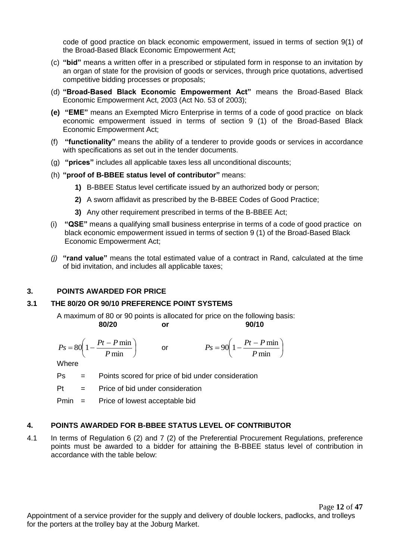code of good practice on black economic empowerment, issued in terms of section 9(1) of the Broad-Based Black Economic Empowerment Act;

- (c) **"bid"** means a written offer in a prescribed or stipulated form in response to an invitation by an organ of state for the provision of goods or services, through price quotations, advertised competitive bidding processes or proposals;
- (d) **"Broad-Based Black Economic Empowerment Act"** means the Broad-Based Black Economic Empowerment Act, 2003 (Act No. 53 of 2003);
- **(e) "EME"** means an Exempted Micro Enterprise in terms of a code of good practice on black economic empowerment issued in terms of section 9 (1) of the Broad-Based Black Economic Empowerment Act;
- (f) **"functionality"** means the ability of a tenderer to provide goods or services in accordance with specifications as set out in the tender documents.
- (g) **"prices"** includes all applicable taxes less all unconditional discounts;
- (h) **"proof of B-BBEE status level of contributor"** means:
	- **1)** B-BBEE Status level certificate issued by an authorized body or person;
	- **2)** A sworn affidavit as prescribed by the B-BBEE Codes of Good Practice;
	- **3)** Any other requirement prescribed in terms of the B-BBEE Act;
- (i) **"QSE"** means a qualifying small business enterprise in terms of a code of good practice on black economic empowerment issued in terms of section 9 (1) of the Broad-Based Black Economic Empowerment Act;
- *(j)* **"rand value"** means the total estimated value of a contract in Rand, calculated at the time of bid invitation, and includes all applicable taxes;

#### **3. POINTS AWARDED FOR PRICE**

### **3.1 THE 80/20 OR 90/10 PREFERENCE POINT SYSTEMS**

A maximum of 80 or 90 points is allocated for price on the following basis: **80/20 or 90/10**

$$
Ps = 80\left(1 - \frac{Pt - P \min}{P \min}\right) \qquad \text{or} \qquad \qquad Ps = 90\left(1 - \frac{Pt - P \min}{P \min}\right)
$$

**Where** 

- Ps = Points scored for price of bid under consideration
- $Pt =$  Price of bid under consideration

Pmin = Price of lowest acceptable bid

#### **4. POINTS AWARDED FOR B-BBEE STATUS LEVEL OF CONTRIBUTOR**

4.1 In terms of Regulation 6 (2) and 7 (2) of the Preferential Procurement Regulations, preference points must be awarded to a bidder for attaining the B-BBEE status level of contribution in accordance with the table below: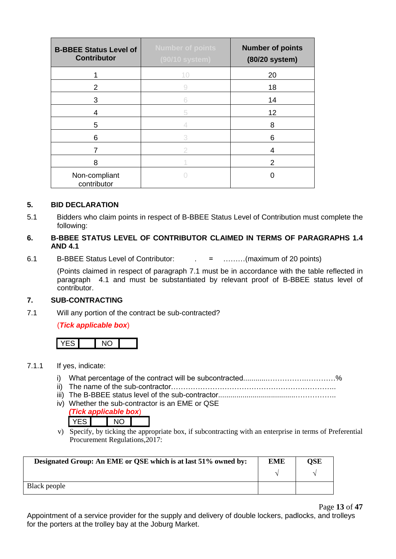| <b>B-BBEE Status Level of</b><br><b>Contributor</b> | <b>Number of points</b><br>(90/10 system) | <b>Number of points</b><br>(80/20 system) |
|-----------------------------------------------------|-------------------------------------------|-------------------------------------------|
|                                                     | 10                                        | 20                                        |
| 2                                                   | 9                                         | 18                                        |
| 3                                                   | 6                                         | 14                                        |
| 4                                                   | 5                                         | 12                                        |
| 5                                                   |                                           | 8                                         |
| 6                                                   | 3                                         | 6                                         |
| 7                                                   | 2                                         | 4                                         |
| 8                                                   |                                           | 2                                         |
| Non-compliant<br>contributor                        |                                           |                                           |

#### **5. BID DECLARATION**

5.1 Bidders who claim points in respect of B-BBEE Status Level of Contribution must complete the following:

#### **6. B-BBEE STATUS LEVEL OF CONTRIBUTOR CLAIMED IN TERMS OF PARAGRAPHS 1.4 AND 4.1**

6.1 B-BBEE Status Level of Contributor: . = ………(maximum of 20 points)

(Points claimed in respect of paragraph 7.1 must be in accordance with the table reflected in paragraph 4.1 and must be substantiated by relevant proof of B-BBEE status level of contributor.

#### **7. SUB-CONTRACTING**

7.1 Will any portion of the contract be sub-contracted?

#### (*Tick applicable box*)



#### 7.1.1 If yes, indicate:

- i) What percentage of the contract will be subcontracted............…………….…………%
- ii) The name of the sub-contractor…………………………………………………………..
- iii) The B-BBEE status level of the sub-contractor......................................……………..
- iv) Whether the sub-contractor is an EME or QSE

#### *(Tick applicable box*) YES NO

v) Specify, by ticking the appropriate box, if subcontracting with an enterprise in terms of Preferential Procurement Regulations,2017:

| Designated Group: An EME or QSE which is at last 51% owned by: | <b>EME</b> | OSE |
|----------------------------------------------------------------|------------|-----|
|                                                                |            |     |
| Black people                                                   |            |     |

Page **13** of **47**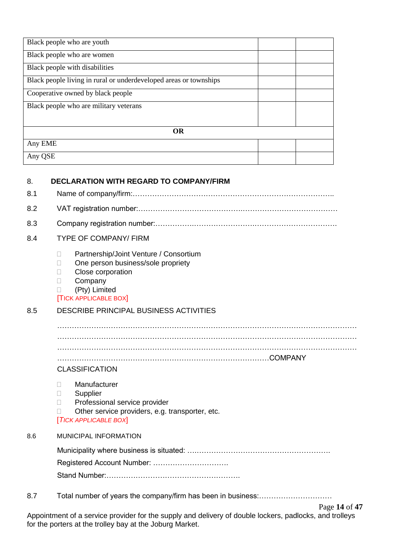| Black people who are youth                                        |  |  |  |
|-------------------------------------------------------------------|--|--|--|
| Black people who are women                                        |  |  |  |
| Black people with disabilities                                    |  |  |  |
| Black people living in rural or underdeveloped areas or townships |  |  |  |
| Cooperative owned by black people                                 |  |  |  |
| Black people who are military veterans                            |  |  |  |
|                                                                   |  |  |  |
| <b>OR</b>                                                         |  |  |  |
| Any EME                                                           |  |  |  |
| Any QSE                                                           |  |  |  |

### 8. **DECLARATION WITH REGARD TO COMPANY/FIRM**

- 8.1 Name of company/firm:………………………………………………………………………..
- 8.2 VAT registration number:…………………………………….…………………………………
- 8.3 Company registration number:…………….…………………….…………………………….
- 8.4 TYPE OF COMPANY/ FIRM
	- D Partnership/Joint Venture / Consortium
	- □ One person business/sole propriety
	- **Close corporation**
	- D Company

#### (Pty) Limited

#### [TICK APPLICABLE BOX]

### 8.5 DESCRIBE PRINCIPAL BUSINESS ACTIVITIES

…………………………………………………………………………………………………………… …………………………………………………………………………………………………………… …………………………………………………………………………………………………………… ……………………………………………………………………………COMPANY

#### CLASSIFICATION

- Manufacturer
- **Supplier**
- D Professional service provider
- □ Other service providers, e.g. transporter, etc. [*TICK APPLICABLE BOX*]

#### 8.6 MUNICIPAL INFORMATION

Municipality where business is situated: ….………………………………………………. Registered Account Number: ………………………….

Stand Number:……………………………………………….

8.7 Total number of years the company/firm has been in business:…………………………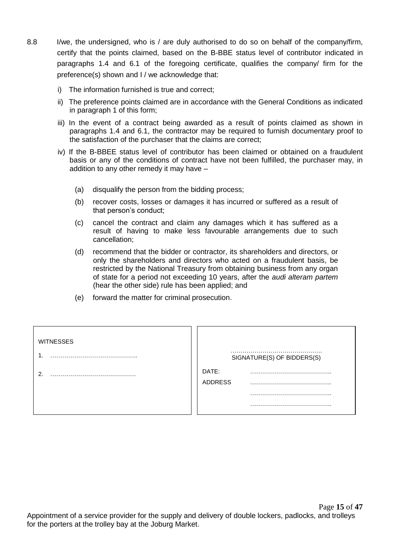- 8.8 I/we, the undersigned, who is / are duly authorised to do so on behalf of the company/firm, certify that the points claimed, based on the B-BBE status level of contributor indicated in paragraphs 1.4 and 6.1 of the foregoing certificate, qualifies the company/ firm for the preference(s) shown and I / we acknowledge that:
	- i) The information furnished is true and correct;
	- ii) The preference points claimed are in accordance with the General Conditions as indicated in paragraph 1 of this form;
	- iii) In the event of a contract being awarded as a result of points claimed as shown in paragraphs 1.4 and 6.1, the contractor may be required to furnish documentary proof to the satisfaction of the purchaser that the claims are correct;
	- iv) If the B-BBEE status level of contributor has been claimed or obtained on a fraudulent basis or any of the conditions of contract have not been fulfilled, the purchaser may, in addition to any other remedy it may have –
		- (a) disqualify the person from the bidding process;
		- (b) recover costs, losses or damages it has incurred or suffered as a result of that person's conduct;
		- (c) cancel the contract and claim any damages which it has suffered as a result of having to make less favourable arrangements due to such cancellation;
		- (d) recommend that the bidder or contractor, its shareholders and directors, or only the shareholders and directors who acted on a fraudulent basis, be restricted by the National Treasury from obtaining business from any organ of state for a period not exceeding 10 years, after the *audi alteram partem* (hear the other side) rule has been applied; and
		- (e) forward the matter for criminal prosecution.

| <b>WITNESSES</b> |                |                            |
|------------------|----------------|----------------------------|
|                  |                | SIGNATURE(S) OF BIDDERS(S) |
| ົ                | DATE:          |                            |
|                  | <b>ADDRESS</b> |                            |
|                  |                |                            |
|                  |                |                            |
|                  |                |                            |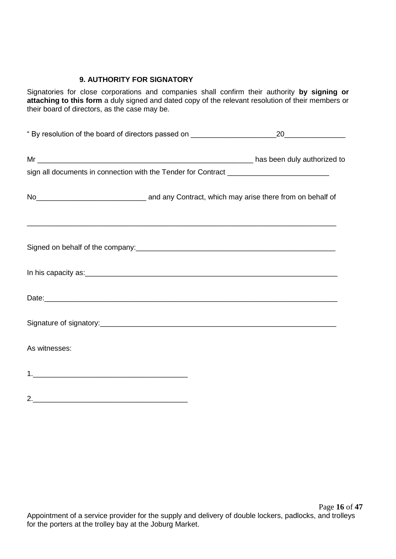### **9. AUTHORITY FOR SIGNATORY**

Signatories for close corporations and companies shall confirm their authority **by signing or attaching to this form** a duly signed and dated copy of the relevant resolution of their members or their board of directors, as the case may be.

| " By resolution of the board of directors passed on ____________________________                                                                                                                      | 20 |
|-------------------------------------------------------------------------------------------------------------------------------------------------------------------------------------------------------|----|
|                                                                                                                                                                                                       |    |
|                                                                                                                                                                                                       |    |
| No <sub>_________________________________</sub> and any Contract, which may arise there from on behalf of                                                                                             |    |
| <u> 1989 - Johann Barbara, martxa alemaniar argumentuar argumentuar argumentuar argumentuar argumentuar argumentu</u><br>Signed on behalf of the company:<br><u> Signed on behalf of the company:</u> |    |
|                                                                                                                                                                                                       |    |
|                                                                                                                                                                                                       |    |
|                                                                                                                                                                                                       |    |
| As witnesses:                                                                                                                                                                                         |    |
|                                                                                                                                                                                                       |    |
|                                                                                                                                                                                                       |    |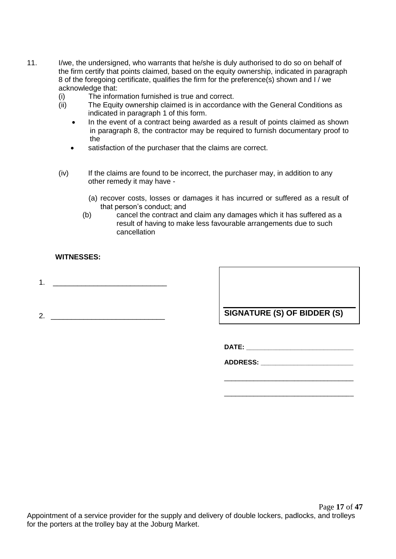- 11. I/we, the undersigned, who warrants that he/she is duly authorised to do so on behalf of the firm certify that points claimed, based on the equity ownership, indicated in paragraph 8 of the foregoing certificate, qualifies the firm for the preference(s) shown and I / we acknowledge that:
	- (i) The information furnished is true and correct.
	- (ii) The Equity ownership claimed is in accordance with the General Conditions as indicated in paragraph 1 of this form.
		- In the event of a contract being awarded as a result of points claimed as shown in paragraph 8, the contractor may be required to furnish documentary proof to the
		- satisfaction of the purchaser that the claims are correct.
	- (iv) If the claims are found to be incorrect, the purchaser may, in addition to any other remedy it may have -
		- (a) recover costs, losses or damages it has incurred or suffered as a result of that person's conduct; and
		- (b) cancel the contract and claim any damages which it has suffered as a result of having to make less favourable arrangements due to such cancellation

### **WITNESSES:**

- 1.  $\qquad$
- 

2. **In the state of the state of the state of SIGNATURE (S) OF BIDDER (S)** 

\_\_\_\_\_\_\_\_\_\_\_\_\_\_\_\_\_\_\_\_\_\_\_\_\_\_\_\_\_\_\_\_\_\_\_

\_\_\_\_\_\_\_\_\_\_\_\_\_\_\_\_\_\_\_\_\_\_\_\_\_\_\_\_\_\_\_\_\_\_\_

**DATE: \_\_\_\_\_\_\_\_\_\_\_\_\_\_\_\_\_\_\_\_\_\_\_\_\_\_\_\_\_**

**ADDRESS: \_\_\_\_\_\_\_\_\_\_\_\_\_\_\_\_\_\_\_\_\_\_\_\_\_**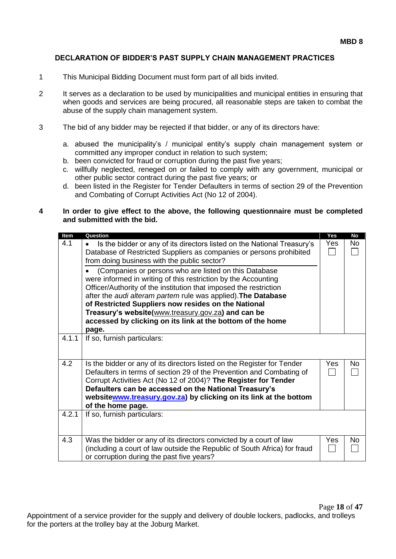#### **DECLARATION OF BIDDER'S PAST SUPPLY CHAIN MANAGEMENT PRACTICES**

- 1 This Municipal Bidding Document must form part of all bids invited.
- 2 It serves as a declaration to be used by municipalities and municipal entities in ensuring that when goods and services are being procured, all reasonable steps are taken to combat the abuse of the supply chain management system.
- 3 The bid of any bidder may be rejected if that bidder, or any of its directors have:
	- a. abused the municipality's / municipal entity's supply chain management system or committed any improper conduct in relation to such system;
	- b. been convicted for fraud or corruption during the past five years;
	- c. willfully neglected, reneged on or failed to comply with any government, municipal or other public sector contract during the past five years; or
	- d. been listed in the Register for Tender Defaulters in terms of section 29 of the Prevention and Combating of Corrupt Activities Act (No 12 of 2004).

#### **4 In order to give effect to the above, the following questionnaire must be completed and submitted with the bid.**

| Item<br>4.1 | Question<br>Is the bidder or any of its directors listed on the National Treasury's<br>$\bullet$<br>Database of Restricted Suppliers as companies or persons prohibited<br>from doing business with the public sector?<br>(Companies or persons who are listed on this Database<br>were informed in writing of this restriction by the Accounting<br>Officer/Authority of the institution that imposed the restriction<br>after the audi alteram partem rule was applied). The Database<br>of Restricted Suppliers now resides on the National | Yes<br>Yes | <b>No</b><br>No. |
|-------------|------------------------------------------------------------------------------------------------------------------------------------------------------------------------------------------------------------------------------------------------------------------------------------------------------------------------------------------------------------------------------------------------------------------------------------------------------------------------------------------------------------------------------------------------|------------|------------------|
|             | Treasury's website(www.treasury.gov.za) and can be<br>accessed by clicking on its link at the bottom of the home<br>page.                                                                                                                                                                                                                                                                                                                                                                                                                      |            |                  |
| 4.1.1       | If so, furnish particulars:                                                                                                                                                                                                                                                                                                                                                                                                                                                                                                                    |            |                  |
| 4.2         | Is the bidder or any of its directors listed on the Register for Tender<br>Defaulters in terms of section 29 of the Prevention and Combating of<br>Corrupt Activities Act (No 12 of 2004)? The Register for Tender<br>Defaulters can be accessed on the National Treasury's<br>websitewww.treasury.gov.za) by clicking on its link at the bottom<br>of the home page.                                                                                                                                                                          | Yes        | No               |
| 4.2.1       | If so, furnish particulars:                                                                                                                                                                                                                                                                                                                                                                                                                                                                                                                    |            |                  |
| 4.3         | Was the bidder or any of its directors convicted by a court of law<br>(including a court of law outside the Republic of South Africa) for fraud<br>or corruption during the past five years?                                                                                                                                                                                                                                                                                                                                                   | Yes        | No               |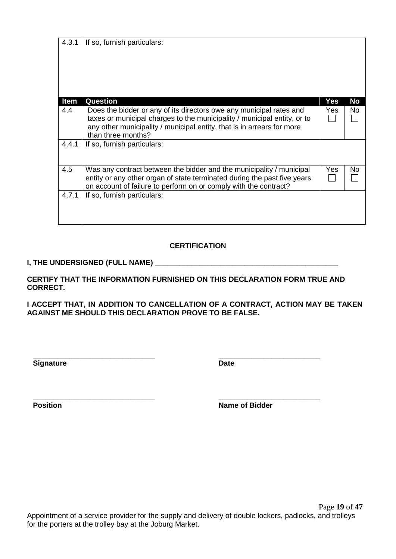| 4.3.1 | If so, furnish particulars:                                                                                                                                                                                                                     |      |     |
|-------|-------------------------------------------------------------------------------------------------------------------------------------------------------------------------------------------------------------------------------------------------|------|-----|
| Item  | Question                                                                                                                                                                                                                                        | Yes  | No  |
| 4.4   | Does the bidder or any of its directors owe any municipal rates and<br>taxes or municipal charges to the municipality / municipal entity, or to<br>any other municipality / municipal entity, that is in arrears for more<br>than three months? | Yes. | No  |
| 4.4.1 | If so, furnish particulars:                                                                                                                                                                                                                     |      |     |
| 4.5   | Was any contract between the bidder and the municipality / municipal<br>entity or any other organ of state terminated during the past five years<br>on account of failure to perform on or comply with the contract?                            | Yes  | No. |
| 4.7.1 | If so, furnish particulars:                                                                                                                                                                                                                     |      |     |

### **CERTIFICATION**

### **I, THE UNDERSIGNED (FULL NAME) \_\_\_\_\_\_\_\_\_\_\_\_\_\_\_\_\_\_\_\_\_\_\_\_\_\_\_\_\_\_\_\_\_\_\_\_\_\_\_\_\_\_\_\_\_**

**CERTIFY THAT THE INFORMATION FURNISHED ON THIS DECLARATION FORM TRUE AND CORRECT.**

**I ACCEPT THAT, IN ADDITION TO CANCELLATION OF A CONTRACT, ACTION MAY BE TAKEN AGAINST ME SHOULD THIS DECLARATION PROVE TO BE FALSE.**

**Signature Date** 

**\_\_\_\_\_\_\_\_\_\_\_\_\_\_\_\_\_\_\_\_\_\_\_\_\_\_\_\_\_\_ \_\_\_\_\_\_\_\_\_\_\_\_\_\_\_\_\_\_\_\_\_\_\_\_\_**

**\_\_\_\_\_\_\_\_\_\_\_\_\_\_\_\_\_\_\_\_\_\_\_\_\_\_\_\_\_\_ \_\_\_\_\_\_\_\_\_\_\_\_\_\_\_\_\_\_\_\_\_\_\_\_\_ Position Name of Bidder**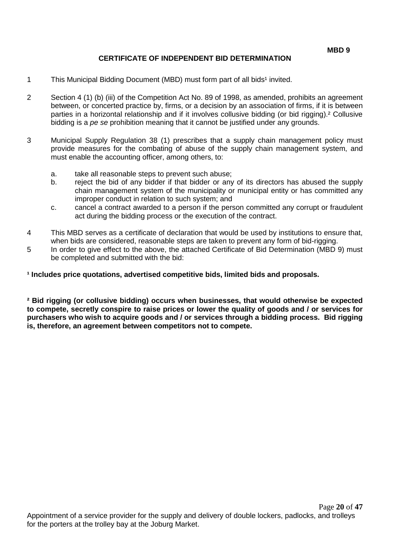### **CERTIFICATE OF INDEPENDENT BID DETERMINATION**

- 1 This Municipal Bidding Document (MBD) must form part of all bids<sup>1</sup> invited.
- 2 Section 4 (1) (b) (iii) of the Competition Act No. 89 of 1998, as amended, prohibits an agreement between, or concerted practice by, firms, or a decision by an association of firms, if it is between parties in a horizontal relationship and if it involves collusive bidding (or bid rigging).² Collusive bidding is a *pe se* prohibition meaning that it cannot be justified under any grounds.
- 3 Municipal Supply Regulation 38 (1) prescribes that a supply chain management policy must provide measures for the combating of abuse of the supply chain management system, and must enable the accounting officer, among others, to:
	- a. take all reasonable steps to prevent such abuse;
	- b. reject the bid of any bidder if that bidder or any of its directors has abused the supply chain management system of the municipality or municipal entity or has committed any improper conduct in relation to such system; and
	- c. cancel a contract awarded to a person if the person committed any corrupt or fraudulent act during the bidding process or the execution of the contract.
- 4 This MBD serves as a certificate of declaration that would be used by institutions to ensure that, when bids are considered, reasonable steps are taken to prevent any form of bid-rigging.
- 5 In order to give effect to the above, the attached Certificate of Bid Determination (MBD 9) must be completed and submitted with the bid:

**¹ Includes price quotations, advertised competitive bids, limited bids and proposals.**

**² Bid rigging (or collusive bidding) occurs when businesses, that would otherwise be expected to compete, secretly conspire to raise prices or lower the quality of goods and / or services for purchasers who wish to acquire goods and / or services through a bidding process. Bid rigging is, therefore, an agreement between competitors not to compete.**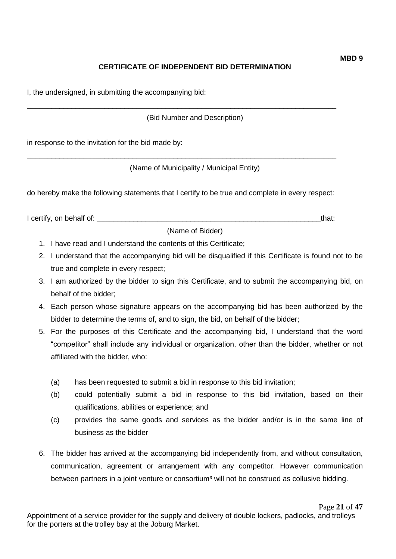# **CERTIFICATE OF INDEPENDENT BID DETERMINATION**

I, the undersigned, in submitting the accompanying bid:

(Bid Number and Description)

\_\_\_\_\_\_\_\_\_\_\_\_\_\_\_\_\_\_\_\_\_\_\_\_\_\_\_\_\_\_\_\_\_\_\_\_\_\_\_\_\_\_\_\_\_\_\_\_\_\_\_\_\_\_\_\_\_\_\_\_\_\_\_\_\_\_\_\_\_\_\_\_\_\_\_\_

in response to the invitation for the bid made by:

(Name of Municipality / Municipal Entity)

do hereby make the following statements that I certify to be true and complete in every respect:

\_\_\_\_\_\_\_\_\_\_\_\_\_\_\_\_\_\_\_\_\_\_\_\_\_\_\_\_\_\_\_\_\_\_\_\_\_\_\_\_\_\_\_\_\_\_\_\_\_\_\_\_\_\_\_\_\_\_\_\_\_\_\_\_\_\_\_\_\_\_\_\_\_\_\_\_

I certify, on behalf of: \_\_\_\_\_\_\_\_\_\_\_\_\_\_\_\_\_\_\_\_\_\_\_\_\_\_\_\_\_\_\_\_\_\_\_\_\_\_\_\_\_\_\_\_\_\_\_\_\_\_\_\_\_\_\_that:

(Name of Bidder)

- 1. I have read and I understand the contents of this Certificate;
- 2. I understand that the accompanying bid will be disqualified if this Certificate is found not to be true and complete in every respect;
- 3. I am authorized by the bidder to sign this Certificate, and to submit the accompanying bid, on behalf of the bidder;
- 4. Each person whose signature appears on the accompanying bid has been authorized by the bidder to determine the terms of, and to sign, the bid, on behalf of the bidder;
- 5. For the purposes of this Certificate and the accompanying bid, I understand that the word "competitor" shall include any individual or organization, other than the bidder, whether or not affiliated with the bidder, who:
	- (a) has been requested to submit a bid in response to this bid invitation;
	- (b) could potentially submit a bid in response to this bid invitation, based on their qualifications, abilities or experience; and
	- (c) provides the same goods and services as the bidder and/or is in the same line of business as the bidder
- 6. The bidder has arrived at the accompanying bid independently from, and without consultation, communication, agreement or arrangement with any competitor. However communication between partners in a joint venture or consortium<sup>3</sup> will not be construed as collusive bidding.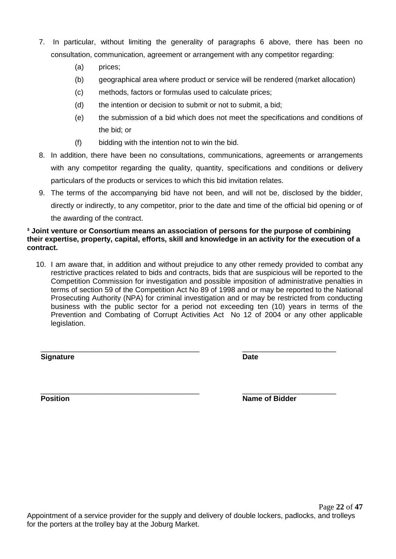- 7. In particular, without limiting the generality of paragraphs 6 above, there has been no consultation, communication, agreement or arrangement with any competitor regarding:
	- (a) prices;
	- (b) geographical area where product or service will be rendered (market allocation)
	- (c) methods, factors or formulas used to calculate prices;
	- (d) the intention or decision to submit or not to submit, a bid;
	- (e) the submission of a bid which does not meet the specifications and conditions of the bid; or
	- (f) bidding with the intention not to win the bid.
- 8. In addition, there have been no consultations, communications, agreements or arrangements with any competitor regarding the quality, quantity, specifications and conditions or delivery particulars of the products or services to which this bid invitation relates.
- 9. The terms of the accompanying bid have not been, and will not be, disclosed by the bidder, directly or indirectly, to any competitor, prior to the date and time of the official bid opening or of the awarding of the contract.

#### **³ Joint venture or Consortium means an association of persons for the purpose of combining their expertise, property, capital, efforts, skill and knowledge in an activity for the execution of a contract.**

10. I am aware that, in addition and without prejudice to any other remedy provided to combat any restrictive practices related to bids and contracts, bids that are suspicious will be reported to the Competition Commission for investigation and possible imposition of administrative penalties in terms of section 59 of the Competition Act No 89 of 1998 and or may be reported to the National Prosecuting Authority (NPA) for criminal investigation and or may be restricted from conducting business with the public sector for a period not exceeding ten (10) years in terms of the Prevention and Combating of Corrupt Activities Act No 12 of 2004 or any other applicable legislation.

**Signature Date**

\_\_\_\_\_\_\_\_\_\_\_\_\_\_\_\_\_\_\_\_\_\_\_\_\_\_\_\_\_\_\_\_\_\_\_\_\_\_\_ \_\_\_\_\_\_\_\_\_\_\_\_\_\_\_\_\_\_\_\_\_\_\_

\_\_\_\_\_\_\_\_\_\_\_\_\_\_\_\_\_\_\_\_\_\_\_\_\_\_\_\_\_\_\_\_\_\_\_\_\_\_\_ \_\_\_\_\_\_\_\_\_\_\_\_\_\_\_\_\_\_\_\_\_\_\_ **Position** Name of Bidder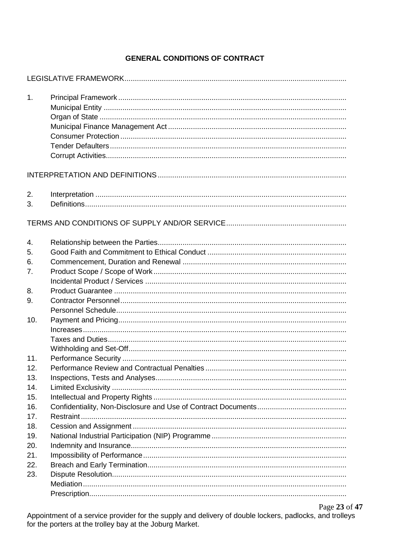## **GENERAL CONDITIONS OF CONTRACT**

| 1.       |  |
|----------|--|
|          |  |
| 2.<br>3. |  |
|          |  |
| 4.       |  |
| 5.       |  |
| 6.       |  |
| 7.       |  |
|          |  |
| 8.       |  |
| 9.       |  |
|          |  |
| 10.      |  |
|          |  |
|          |  |
|          |  |
| 11.      |  |
| 12.      |  |
| 13.      |  |
| 14.      |  |
| 15.      |  |
| 16.      |  |
| 17.      |  |
| 18.      |  |
| 19.      |  |
| 20.      |  |
| 21.      |  |
| 22.      |  |
| 23.      |  |
|          |  |
|          |  |

Page 23 of 47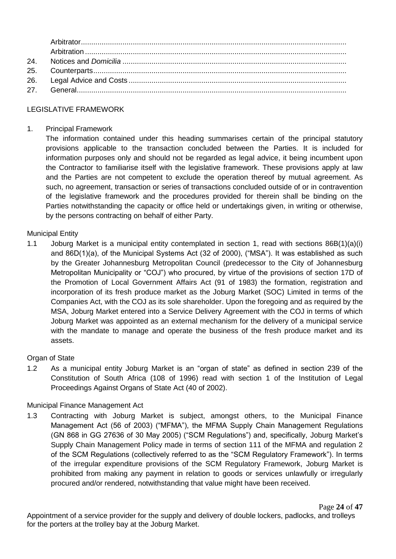| 24. |  |
|-----|--|
|     |  |
|     |  |
|     |  |

### LEGISLATIVE FRAMEWORK

#### 1. Principal Framework

The information contained under this heading summarises certain of the principal statutory provisions applicable to the transaction concluded between the Parties. It is included for information purposes only and should not be regarded as legal advice, it being incumbent upon the Contractor to familiarise itself with the legislative framework. These provisions apply at law and the Parties are not competent to exclude the operation thereof by mutual agreement. As such, no agreement, transaction or series of transactions concluded outside of or in contravention of the legislative framework and the procedures provided for therein shall be binding on the Parties notwithstanding the capacity or office held or undertakings given, in writing or otherwise, by the persons contracting on behalf of either Party.

#### Municipal Entity

1.1 Joburg Market is a municipal entity contemplated in section 1, read with sections 86B(1)(a)(i) and 86D(1)(a), of the Municipal Systems Act (32 of 2000), ("MSA"). It was established as such by the Greater Johannesburg Metropolitan Council (predecessor to the City of Johannesburg Metropolitan Municipality or "COJ") who procured, by virtue of the provisions of section 17D of the Promotion of Local Government Affairs Act (91 of 1983) the formation, registration and incorporation of its fresh produce market as the Joburg Market (SOC) Limited in terms of the Companies Act, with the COJ as its sole shareholder. Upon the foregoing and as required by the MSA, Joburg Market entered into a Service Delivery Agreement with the COJ in terms of which Joburg Market was appointed as an external mechanism for the delivery of a municipal service with the mandate to manage and operate the business of the fresh produce market and its assets.

#### Organ of State

1.2 As a municipal entity Joburg Market is an "organ of state" as defined in section 239 of the Constitution of South Africa (108 of 1996) read with section 1 of the Institution of Legal Proceedings Against Organs of State Act (40 of 2002).

#### Municipal Finance Management Act

1.3 Contracting with Joburg Market is subject, amongst others, to the Municipal Finance Management Act (56 of 2003) ("MFMA"), the MFMA Supply Chain Management Regulations (GN 868 in GG 27636 of 30 May 2005) ("SCM Regulations") and, specifically, Joburg Market's Supply Chain Management Policy made in terms of section 111 of the MFMA and regulation 2 of the SCM Regulations (collectively referred to as the "SCM Regulatory Framework"). In terms of the irregular expenditure provisions of the SCM Regulatory Framework, Joburg Market is prohibited from making any payment in relation to goods or services unlawfully or irregularly procured and/or rendered, notwithstanding that value might have been received.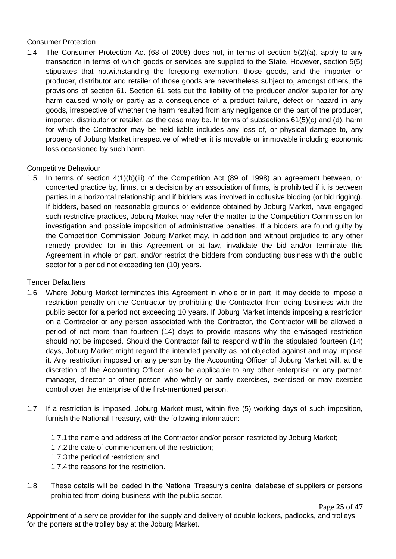### Consumer Protection

1.4 The Consumer Protection Act (68 of 2008) does not, in terms of section 5(2)(a), apply to any transaction in terms of which goods or services are supplied to the State. However, section 5(5) stipulates that notwithstanding the foregoing exemption, those goods, and the importer or producer, distributor and retailer of those goods are nevertheless subject to, amongst others, the provisions of section 61. Section 61 sets out the liability of the producer and/or supplier for any harm caused wholly or partly as a consequence of a product failure, defect or hazard in any goods, irrespective of whether the harm resulted from any negligence on the part of the producer, importer, distributor or retailer, as the case may be. In terms of subsections 61(5)(c) and (d), harm for which the Contractor may be held liable includes any loss of, or physical damage to, any property of Joburg Market irrespective of whether it is movable or immovable including economic loss occasioned by such harm.

### Competitive Behaviour

1.5 In terms of section 4(1)(b)(iii) of the Competition Act (89 of 1998) an agreement between, or concerted practice by, firms, or a decision by an association of firms, is prohibited if it is between parties in a horizontal relationship and if bidders was involved in collusive bidding (or bid rigging). If bidders, based on reasonable grounds or evidence obtained by Joburg Market, have engaged such restrictive practices, Joburg Market may refer the matter to the Competition Commission for investigation and possible imposition of administrative penalties. If a bidders are found guilty by the Competition Commission Joburg Market may, in addition and without prejudice to any other remedy provided for in this Agreement or at law, invalidate the bid and/or terminate this Agreement in whole or part, and/or restrict the bidders from conducting business with the public sector for a period not exceeding ten (10) years.

### Tender Defaulters

- 1.6 Where Joburg Market terminates this Agreement in whole or in part, it may decide to impose a restriction penalty on the Contractor by prohibiting the Contractor from doing business with the public sector for a period not exceeding 10 years. If Joburg Market intends imposing a restriction on a Contractor or any person associated with the Contractor, the Contractor will be allowed a period of not more than fourteen (14) days to provide reasons why the envisaged restriction should not be imposed. Should the Contractor fail to respond within the stipulated fourteen (14) days, Joburg Market might regard the intended penalty as not objected against and may impose it. Any restriction imposed on any person by the Accounting Officer of Joburg Market will, at the discretion of the Accounting Officer, also be applicable to any other enterprise or any partner, manager, director or other person who wholly or partly exercises, exercised or may exercise control over the enterprise of the first-mentioned person.
- 1.7 If a restriction is imposed, Joburg Market must, within five (5) working days of such imposition, furnish the National Treasury, with the following information:
	- 1.7.1 the name and address of the Contractor and/or person restricted by Joburg Market;
	- 1.7.2 the date of commencement of the restriction;
	- 1.7.3 the period of restriction; and
	- 1.7.4 the reasons for the restriction.
- 1.8 These details will be loaded in the National Treasury's central database of suppliers or persons prohibited from doing business with the public sector.

Page **25** of **47**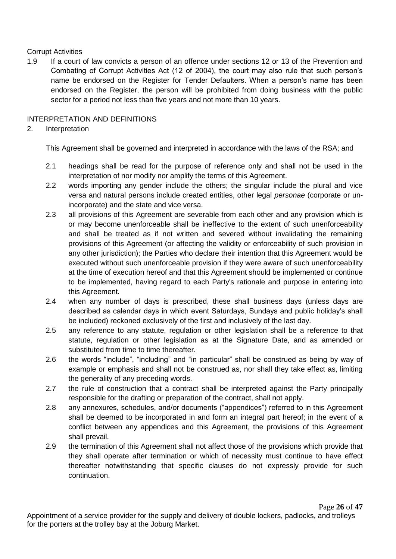### Corrupt Activities

1.9 If a court of law convicts a person of an offence under sections 12 or 13 of the Prevention and Combating of Corrupt Activities Act (12 of 2004), the court may also rule that such person's name be endorsed on the Register for Tender Defaulters. When a person's name has been endorsed on the Register, the person will be prohibited from doing business with the public sector for a period not less than five years and not more than 10 years.

### INTERPRETATION AND DEFINITIONS

### 2. Interpretation

This Agreement shall be governed and interpreted in accordance with the laws of the RSA; and

- 2.1 headings shall be read for the purpose of reference only and shall not be used in the interpretation of nor modify nor amplify the terms of this Agreement.
- 2.2 words importing any gender include the others; the singular include the plural and vice versa and natural persons include created entities, other legal *personae* (corporate or unincorporate) and the state and vice versa.
- 2.3 all provisions of this Agreement are severable from each other and any provision which is or may become unenforceable shall be ineffective to the extent of such unenforceability and shall be treated as if not written and severed without invalidating the remaining provisions of this Agreement (or affecting the validity or enforceability of such provision in any other jurisdiction); the Parties who declare their intention that this Agreement would be executed without such unenforceable provision if they were aware of such unenforceability at the time of execution hereof and that this Agreement should be implemented or continue to be implemented, having regard to each Party's rationale and purpose in entering into this Agreement.
- 2.4 when any number of days is prescribed, these shall business days (unless days are described as calendar days in which event Saturdays, Sundays and public holiday's shall be included) reckoned exclusively of the first and inclusively of the last day.
- 2.5 any reference to any statute, regulation or other legislation shall be a reference to that statute, regulation or other legislation as at the Signature Date, and as amended or substituted from time to time thereafter.
- 2.6 the words "include", "including" and "in particular" shall be construed as being by way of example or emphasis and shall not be construed as, nor shall they take effect as, limiting the generality of any preceding words.
- 2.7 the rule of construction that a contract shall be interpreted against the Party principally responsible for the drafting or preparation of the contract, shall not apply.
- 2.8 any annexures, schedules, and/or documents ("appendices") referred to in this Agreement shall be deemed to be incorporated in and form an integral part hereof; in the event of a conflict between any appendices and this Agreement, the provisions of this Agreement shall prevail.
- 2.9 the termination of this Agreement shall not affect those of the provisions which provide that they shall operate after termination or which of necessity must continue to have effect thereafter notwithstanding that specific clauses do not expressly provide for such continuation.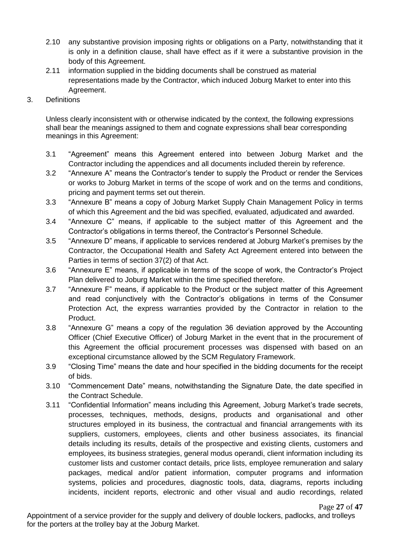- 2.10 any substantive provision imposing rights or obligations on a Party, notwithstanding that it is only in a definition clause, shall have effect as if it were a substantive provision in the body of this Agreement.
- 2.11 information supplied in the bidding documents shall be construed as material representations made by the Contractor, which induced Joburg Market to enter into this Agreement.
- 3. Definitions

Unless clearly inconsistent with or otherwise indicated by the context, the following expressions shall bear the meanings assigned to them and cognate expressions shall bear corresponding meanings in this Agreement:

- 3.1 "Agreement" means this Agreement entered into between Joburg Market and the Contractor including the appendices and all documents included therein by reference.
- 3.2 "Annexure A" means the Contractor's tender to supply the Product or render the Services or works to Joburg Market in terms of the scope of work and on the terms and conditions, pricing and payment terms set out therein.
- 3.3 "Annexure B" means a copy of Joburg Market Supply Chain Management Policy in terms of which this Agreement and the bid was specified, evaluated, adjudicated and awarded.
- 3.4 "Annexure C" means, if applicable to the subject matter of this Agreement and the Contractor's obligations in terms thereof, the Contractor's Personnel Schedule.
- 3.5 "Annexure D" means, if applicable to services rendered at Joburg Market's premises by the Contractor, the Occupational Health and Safety Act Agreement entered into between the Parties in terms of section 37(2) of that Act.
- 3.6 "Annexure E" means, if applicable in terms of the scope of work, the Contractor's Project Plan delivered to Joburg Market within the time specified therefore.
- 3.7 "Annexure F" means, if applicable to the Product or the subject matter of this Agreement and read conjunctively with the Contractor's obligations in terms of the Consumer Protection Act, the express warranties provided by the Contractor in relation to the Product.
- 3.8 "Annexure G" means a copy of the regulation 36 deviation approved by the Accounting Officer (Chief Executive Officer) of Joburg Market in the event that in the procurement of this Agreement the official procurement processes was dispensed with based on an exceptional circumstance allowed by the SCM Regulatory Framework.
- 3.9 "Closing Time" means the date and hour specified in the bidding documents for the receipt of bids.
- 3.10 "Commencement Date" means, notwithstanding the Signature Date, the date specified in the Contract Schedule.
- 3.11 "Confidential Information" means including this Agreement, Joburg Market's trade secrets, processes, techniques, methods, designs, products and organisational and other structures employed in its business, the contractual and financial arrangements with its suppliers, customers, employees, clients and other business associates, its financial details including its results, details of the prospective and existing clients, customers and employees, its business strategies, general modus operandi, client information including its customer lists and customer contact details, price lists, employee remuneration and salary packages, medical and/or patient information, computer programs and information systems, policies and procedures, diagnostic tools, data, diagrams, reports including incidents, incident reports, electronic and other visual and audio recordings, related

Page **27** of **47**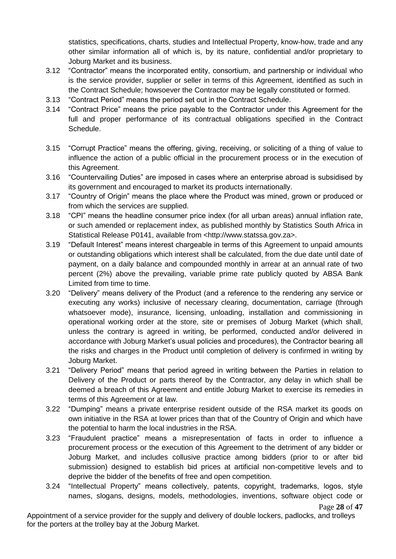statistics, specifications, charts, studies and Intellectual Property, know-how, trade and any other similar information all of which is, by its nature, confidential and/or proprietary to Joburg Market and its business.

- 3.12 "Contractor" means the incorporated entity, consortium, and partnership or individual who is the service provider, supplier or seller in terms of this Agreement, identified as such in the Contract Schedule; howsoever the Contractor may be legally constituted or formed.
- 3.13 "Contract Period" means the period set out in the Contract Schedule.
- 3.14 "Contract Price" means the price payable to the Contractor under this Agreement for the full and proper performance of its contractual obligations specified in the Contract Schedule.
- 3.15 "Corrupt Practice" means the offering, giving, receiving, or soliciting of a thing of value to influence the action of a public official in the procurement process or in the execution of this Agreement.
- 3.16 "Countervailing Duties" are imposed in cases where an enterprise abroad is subsidised by its government and encouraged to market its products internationally.
- 3.17 "Country of Origin" means the place where the Product was mined, grown or produced or from which the services are supplied.
- 3.18 "CPI" means the headline consumer price index (for all urban areas) annual inflation rate, or such amended or replacement index, as published monthly by Statistics South Africa in Statistical Release P0141, available from <http://www.statssa.gov.za>.
- 3.19 "Default Interest" means interest chargeable in terms of this Agreement to unpaid amounts or outstanding obligations which interest shall be calculated, from the due date until date of payment, on a daily balance and compounded monthly in arrear at an annual rate of two percent (2%) above the prevailing, variable prime rate publicly quoted by ABSA Bank Limited from time to time.
- 3.20 "Delivery" means delivery of the Product (and a reference to the rendering any service or executing any works) inclusive of necessary clearing, documentation, carriage (through whatsoever mode), insurance, licensing, unloading, installation and commissioning in operational working order at the store, site or premises of Joburg Market (which shall, unless the contrary is agreed in writing, be performed, conducted and/or delivered in accordance with Joburg Market's usual policies and procedures), the Contractor bearing all the risks and charges in the Product until completion of delivery is confirmed in writing by Joburg Market.
- 3.21 "Delivery Period" means that period agreed in writing between the Parties in relation to Delivery of the Product or parts thereof by the Contractor, any delay in which shall be deemed a breach of this Agreement and entitle Joburg Market to exercise its remedies in terms of this Agreement or at law.
- 3.22 "Dumping" means a private enterprise resident outside of the RSA market its goods on own initiative in the RSA at lower prices than that of the Country of Origin and which have the potential to harm the local industries in the RSA.
- 3.23 "Fraudulent practice" means a misrepresentation of facts in order to influence a procurement process or the execution of this Agreement to the detriment of any bidder or Joburg Market, and includes collusive practice among bidders (prior to or after bid submission) designed to establish bid prices at artificial non-competitive levels and to deprive the bidder of the benefits of free and open competition.
- 3.24 "Intellectual Property" means collectively, patents, copyright, trademarks, logos, style names, slogans, designs, models, methodologies, inventions, software object code or

Page **28** of **47**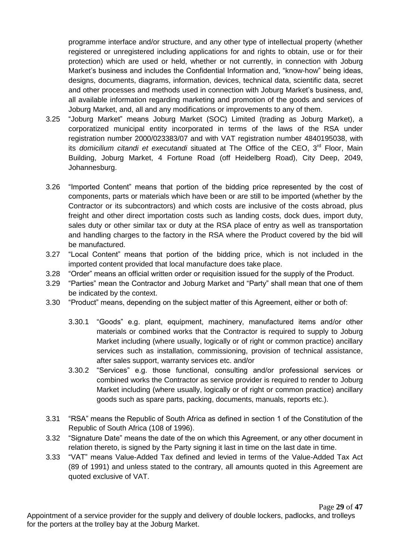programme interface and/or structure, and any other type of intellectual property (whether registered or unregistered including applications for and rights to obtain, use or for their protection) which are used or held, whether or not currently, in connection with Joburg Market's business and includes the Confidential Information and, "know-how" being ideas, designs, documents, diagrams, information, devices, technical data, scientific data, secret and other processes and methods used in connection with Joburg Market's business, and, all available information regarding marketing and promotion of the goods and services of Joburg Market, and, all and any modifications or improvements to any of them.

- 3.25 "Joburg Market" means Joburg Market (SOC) Limited (trading as Joburg Market), a corporatized municipal entity incorporated in terms of the laws of the RSA under registration number 2000/023383/07 and with VAT registration number 4840195038, with its *domicilium citandi et executandi* situated at The Office of the CEO, 3<sup>rd</sup> Floor, Main Building, Joburg Market, 4 Fortune Road (off Heidelberg Road), City Deep, 2049, Johannesburg.
- 3.26 "Imported Content" means that portion of the bidding price represented by the cost of components, parts or materials which have been or are still to be imported (whether by the Contractor or its subcontractors) and which costs are inclusive of the costs abroad, plus freight and other direct importation costs such as landing costs, dock dues, import duty, sales duty or other similar tax or duty at the RSA place of entry as well as transportation and handling charges to the factory in the RSA where the Product covered by the bid will be manufactured.
- 3.27 "Local Content" means that portion of the bidding price, which is not included in the imported content provided that local manufacture does take place.
- 3.28 "Order" means an official written order or requisition issued for the supply of the Product.
- 3.29 "Parties" mean the Contractor and Joburg Market and "Party" shall mean that one of them be indicated by the context.
- 3.30 "Product" means, depending on the subject matter of this Agreement, either or both of:
	- 3.30.1 "Goods" e.g. plant, equipment, machinery, manufactured items and/or other materials or combined works that the Contractor is required to supply to Joburg Market including (where usually, logically or of right or common practice) ancillary services such as installation, commissioning, provision of technical assistance, after sales support, warranty services etc. and/or
	- 3.30.2 "Services" e.g. those functional, consulting and/or professional services or combined works the Contractor as service provider is required to render to Joburg Market including (where usually, logically or of right or common practice) ancillary goods such as spare parts, packing, documents, manuals, reports etc.).
- 3.31 "RSA" means the Republic of South Africa as defined in section 1 of the Constitution of the Republic of South Africa (108 of 1996).
- 3.32 "Signature Date" means the date of the on which this Agreement, or any other document in relation thereto, is signed by the Party signing it last in time on the last date in time.
- 3.33 "VAT" means Value-Added Tax defined and levied in terms of the Value-Added Tax Act (89 of 1991) and unless stated to the contrary, all amounts quoted in this Agreement are quoted exclusive of VAT.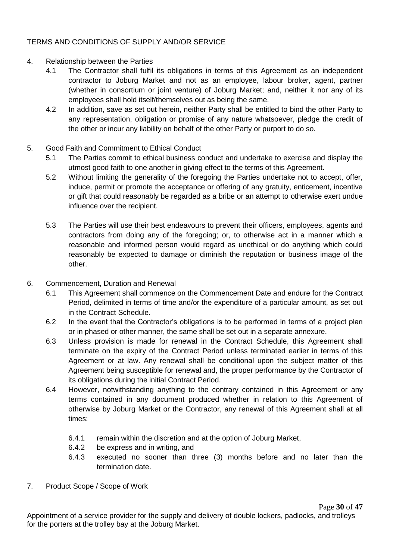### TERMS AND CONDITIONS OF SUPPLY AND/OR SERVICE

- 4. Relationship between the Parties
	- 4.1 The Contractor shall fulfil its obligations in terms of this Agreement as an independent contractor to Joburg Market and not as an employee, labour broker, agent, partner (whether in consortium or joint venture) of Joburg Market; and, neither it nor any of its employees shall hold itself/themselves out as being the same.
	- 4.2 In addition, save as set out herein, neither Party shall be entitled to bind the other Party to any representation, obligation or promise of any nature whatsoever, pledge the credit of the other or incur any liability on behalf of the other Party or purport to do so.
- 5. Good Faith and Commitment to Ethical Conduct
	- 5.1 The Parties commit to ethical business conduct and undertake to exercise and display the utmost good faith to one another in giving effect to the terms of this Agreement.
	- 5.2 Without limiting the generality of the foregoing the Parties undertake not to accept, offer, induce, permit or promote the acceptance or offering of any gratuity, enticement, incentive or gift that could reasonably be regarded as a bribe or an attempt to otherwise exert undue influence over the recipient.
	- 5.3 The Parties will use their best endeavours to prevent their officers, employees, agents and contractors from doing any of the foregoing; or, to otherwise act in a manner which a reasonable and informed person would regard as unethical or do anything which could reasonably be expected to damage or diminish the reputation or business image of the other.
- 6. Commencement, Duration and Renewal
	- 6.1 This Agreement shall commence on the Commencement Date and endure for the Contract Period, delimited in terms of time and/or the expenditure of a particular amount, as set out in the Contract Schedule.
	- 6.2 In the event that the Contractor's obligations is to be performed in terms of a project plan or in phased or other manner, the same shall be set out in a separate annexure.
	- 6.3 Unless provision is made for renewal in the Contract Schedule, this Agreement shall terminate on the expiry of the Contract Period unless terminated earlier in terms of this Agreement or at law. Any renewal shall be conditional upon the subject matter of this Agreement being susceptible for renewal and, the proper performance by the Contractor of its obligations during the initial Contract Period.
	- 6.4 However, notwithstanding anything to the contrary contained in this Agreement or any terms contained in any document produced whether in relation to this Agreement of otherwise by Joburg Market or the Contractor, any renewal of this Agreement shall at all times:
		- 6.4.1 remain within the discretion and at the option of Joburg Market,
		- 6.4.2 be express and in writing, and
		- 6.4.3 executed no sooner than three (3) months before and no later than the termination date.
- 7. Product Scope / Scope of Work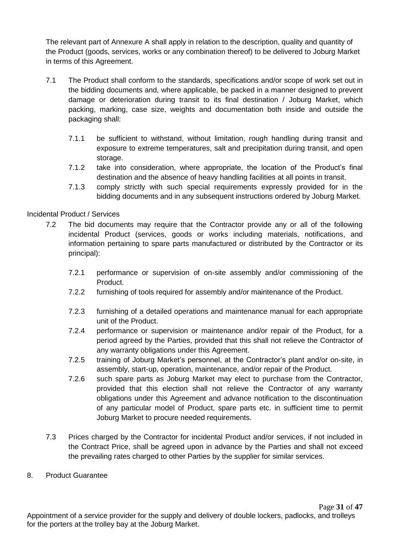The relevant part of Annexure A shall apply in relation to the description, quality and quantity of the Product (goods, services, works or any combination thereof) to be delivered to Joburg Market in terms of this Agreement.

- 7.1 The Product shall conform to the standards, specifications and/or scope of work set out in the bidding documents and, where applicable, be packed in a manner designed to prevent damage or deterioration during transit to its final destination / Joburg Market, which packing, marking, case size, weights and documentation both inside and outside the packaging shall:
	- 7.1.1 be sufficient to withstand, without limitation, rough handling during transit and exposure to extreme temperatures, salt and precipitation during transit, and open storage.
	- 7.1.2 take into consideration, where appropriate, the location of the Product's final destination and the absence of heavy handling facilities at all points in transit.
	- 7.1.3 comply strictly with such special requirements expressly provided for in the bidding documents and in any subsequent instructions ordered by Joburg Market.

### Incidental Product / Services

- 7.2 The bid documents may require that the Contractor provide any or all of the following incidental Product (services, goods or works including materials, notifications, and information pertaining to spare parts manufactured or distributed by the Contractor or its principal):
	- 7.2.1 performance or supervision of on-site assembly and/or commissioning of the Product.
	- 7.2.2 furnishing of tools required for assembly and/or maintenance of the Product.
	- 7.2.3 furnishing of a detailed operations and maintenance manual for each appropriate unit of the Product.
	- 7.2.4 performance or supervision or maintenance and/or repair of the Product, for a period agreed by the Parties, provided that this shall not relieve the Contractor of any warranty obligations under this Agreement.
	- 7.2.5 training of Joburg Market's personnel, at the Contractor's plant and/or on-site, in assembly, start-up, operation, maintenance, and/or repair of the Product.
	- 7.2.6 such spare parts as Joburg Market may elect to purchase from the Contractor, provided that this election shall not relieve the Contractor of any warranty obligations under this Agreement and advance notification to the discontinuation of any particular model of Product, spare parts etc. in sufficient time to permit Joburg Market to procure needed requirements.
- 7.3 Prices charged by the Contractor for incidental Product and/or services, if not included in the Contract Price, shall be agreed upon in advance by the Parties and shall not exceed the prevailing rates charged to other Parties by the supplier for similar services.
- 8. Product Guarantee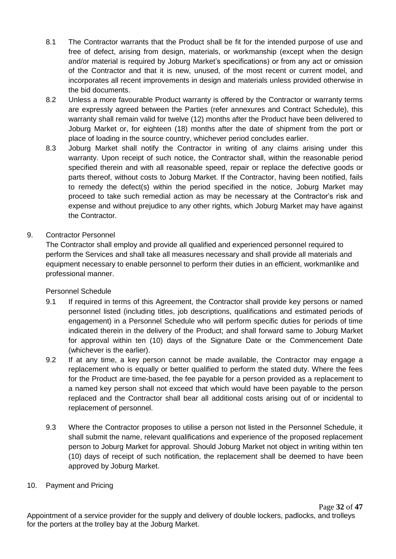- 8.1 The Contractor warrants that the Product shall be fit for the intended purpose of use and free of defect, arising from design, materials, or workmanship (except when the design and/or material is required by Joburg Market's specifications) or from any act or omission of the Contractor and that it is new, unused, of the most recent or current model, and incorporates all recent improvements in design and materials unless provided otherwise in the bid documents.
- 8.2 Unless a more favourable Product warranty is offered by the Contractor or warranty terms are expressly agreed between the Parties (refer annexures and Contract Schedule), this warranty shall remain valid for twelve (12) months after the Product have been delivered to Joburg Market or, for eighteen (18) months after the date of shipment from the port or place of loading in the source country, whichever period concludes earlier.
- 8.3 Joburg Market shall notify the Contractor in writing of any claims arising under this warranty. Upon receipt of such notice, the Contractor shall, within the reasonable period specified therein and with all reasonable speed, repair or replace the defective goods or parts thereof, without costs to Joburg Market. If the Contractor, having been notified, fails to remedy the defect(s) within the period specified in the notice, Joburg Market may proceed to take such remedial action as may be necessary at the Contractor's risk and expense and without prejudice to any other rights, which Joburg Market may have against the Contractor.

### 9. Contractor Personnel

The Contractor shall employ and provide all qualified and experienced personnel required to perform the Services and shall take all measures necessary and shall provide all materials and equipment necessary to enable personnel to perform their duties in an efficient, workmanlike and professional manner.

### Personnel Schedule

- 9.1 If required in terms of this Agreement, the Contractor shall provide key persons or named personnel listed (including titles, job descriptions, qualifications and estimated periods of engagement) in a Personnel Schedule who will perform specific duties for periods of time indicated therein in the delivery of the Product; and shall forward same to Joburg Market for approval within ten (10) days of the Signature Date or the Commencement Date (whichever is the earlier).
- 9.2 If at any time, a key person cannot be made available, the Contractor may engage a replacement who is equally or better qualified to perform the stated duty. Where the fees for the Product are time-based, the fee payable for a person provided as a replacement to a named key person shall not exceed that which would have been payable to the person replaced and the Contractor shall bear all additional costs arising out of or incidental to replacement of personnel.
- 9.3 Where the Contractor proposes to utilise a person not listed in the Personnel Schedule, it shall submit the name, relevant qualifications and experience of the proposed replacement person to Joburg Market for approval. Should Joburg Market not object in writing within ten (10) days of receipt of such notification, the replacement shall be deemed to have been approved by Joburg Market.
- 10. Payment and Pricing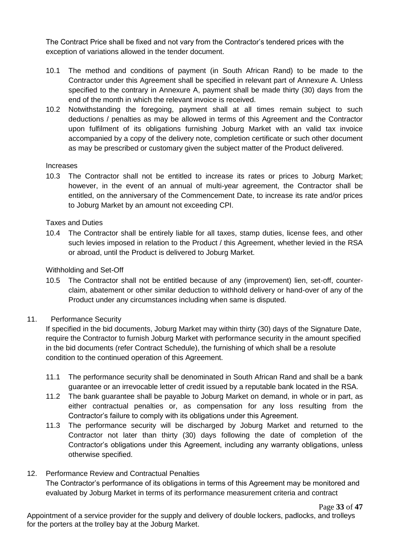The Contract Price shall be fixed and not vary from the Contractor's tendered prices with the exception of variations allowed in the tender document.

- 10.1 The method and conditions of payment (in South African Rand) to be made to the Contractor under this Agreement shall be specified in relevant part of Annexure A. Unless specified to the contrary in Annexure A, payment shall be made thirty (30) days from the end of the month in which the relevant invoice is received.
- 10.2 Notwithstanding the foregoing, payment shall at all times remain subject to such deductions / penalties as may be allowed in terms of this Agreement and the Contractor upon fulfilment of its obligations furnishing Joburg Market with an valid tax invoice accompanied by a copy of the delivery note, completion certificate or such other document as may be prescribed or customary given the subject matter of the Product delivered.

#### Increases

10.3 The Contractor shall not be entitled to increase its rates or prices to Joburg Market; however, in the event of an annual of multi-year agreement, the Contractor shall be entitled, on the anniversary of the Commencement Date, to increase its rate and/or prices to Joburg Market by an amount not exceeding CPI.

#### Taxes and Duties

10.4 The Contractor shall be entirely liable for all taxes, stamp duties, license fees, and other such levies imposed in relation to the Product / this Agreement, whether levied in the RSA or abroad, until the Product is delivered to Joburg Market.

#### Withholding and Set-Off

- 10.5 The Contractor shall not be entitled because of any (improvement) lien, set-off, counterclaim, abatement or other similar deduction to withhold delivery or hand-over of any of the Product under any circumstances including when same is disputed.
- 11. Performance Security

If specified in the bid documents, Joburg Market may within thirty (30) days of the Signature Date, require the Contractor to furnish Joburg Market with performance security in the amount specified in the bid documents (refer Contract Schedule), the furnishing of which shall be a resolute condition to the continued operation of this Agreement.

- 11.1 The performance security shall be denominated in South African Rand and shall be a bank guarantee or an irrevocable letter of credit issued by a reputable bank located in the RSA.
- 11.2 The bank guarantee shall be payable to Joburg Market on demand, in whole or in part, as either contractual penalties or, as compensation for any loss resulting from the Contractor's failure to comply with its obligations under this Agreement.
- 11.3 The performance security will be discharged by Joburg Market and returned to the Contractor not later than thirty (30) days following the date of completion of the Contractor's obligations under this Agreement, including any warranty obligations, unless otherwise specified.

### 12. Performance Review and Contractual Penalties The Contractor's performance of its obligations in terms of this Agreement may be monitored and evaluated by Joburg Market in terms of its performance measurement criteria and contract

Page **33** of **47**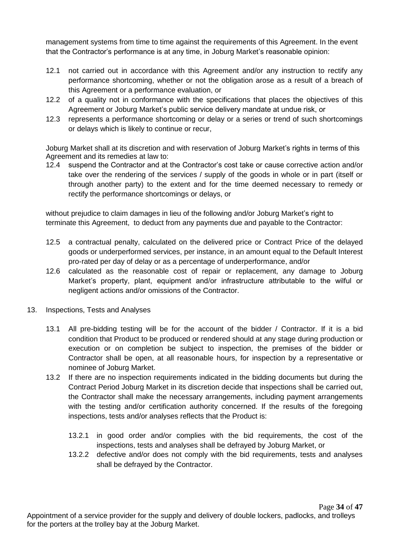management systems from time to time against the requirements of this Agreement. In the event that the Contractor's performance is at any time, in Joburg Market's reasonable opinion:

- 12.1 not carried out in accordance with this Agreement and/or any instruction to rectify any performance shortcoming, whether or not the obligation arose as a result of a breach of this Agreement or a performance evaluation, or
- 12.2 of a quality not in conformance with the specifications that places the objectives of this Agreement or Joburg Market's public service delivery mandate at undue risk, or
- 12.3 represents a performance shortcoming or delay or a series or trend of such shortcomings or delays which is likely to continue or recur,

Joburg Market shall at its discretion and with reservation of Joburg Market's rights in terms of this Agreement and its remedies at law to:

12.4 suspend the Contractor and at the Contractor's cost take or cause corrective action and/or take over the rendering of the services / supply of the goods in whole or in part (itself or through another party) to the extent and for the time deemed necessary to remedy or rectify the performance shortcomings or delays, or

without prejudice to claim damages in lieu of the following and/or Joburg Market's right to terminate this Agreement, to deduct from any payments due and payable to the Contractor:

- 12.5 a contractual penalty, calculated on the delivered price or Contract Price of the delayed goods or underperformed services, per instance, in an amount equal to the Default Interest pro-rated per day of delay or as a percentage of underperformance, and/or
- 12.6 calculated as the reasonable cost of repair or replacement, any damage to Joburg Market's property, plant, equipment and/or infrastructure attributable to the wilful or negligent actions and/or omissions of the Contractor.
- 13. Inspections, Tests and Analyses
	- 13.1 All pre-bidding testing will be for the account of the bidder / Contractor. If it is a bid condition that Product to be produced or rendered should at any stage during production or execution or on completion be subject to inspection, the premises of the bidder or Contractor shall be open, at all reasonable hours, for inspection by a representative or nominee of Joburg Market.
	- 13.2 If there are no inspection requirements indicated in the bidding documents but during the Contract Period Joburg Market in its discretion decide that inspections shall be carried out, the Contractor shall make the necessary arrangements, including payment arrangements with the testing and/or certification authority concerned. If the results of the foregoing inspections, tests and/or analyses reflects that the Product is:
		- 13.2.1 in good order and/or complies with the bid requirements, the cost of the inspections, tests and analyses shall be defrayed by Joburg Market, or
		- 13.2.2 defective and/or does not comply with the bid requirements, tests and analyses shall be defrayed by the Contractor.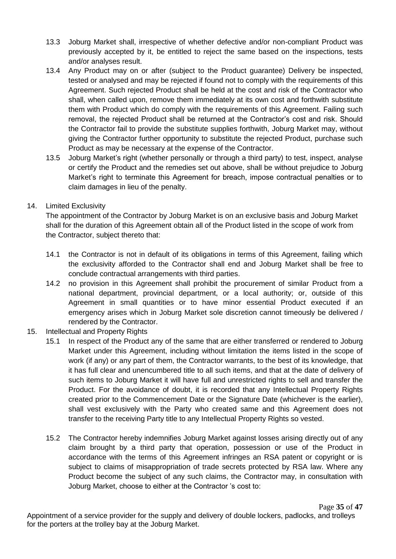- 13.3 Joburg Market shall, irrespective of whether defective and/or non-compliant Product was previously accepted by it, be entitled to reject the same based on the inspections, tests and/or analyses result.
- 13.4 Any Product may on or after (subject to the Product guarantee) Delivery be inspected, tested or analysed and may be rejected if found not to comply with the requirements of this Agreement. Such rejected Product shall be held at the cost and risk of the Contractor who shall, when called upon, remove them immediately at its own cost and forthwith substitute them with Product which do comply with the requirements of this Agreement. Failing such removal, the rejected Product shall be returned at the Contractor's cost and risk. Should the Contractor fail to provide the substitute supplies forthwith, Joburg Market may, without giving the Contractor further opportunity to substitute the rejected Product, purchase such Product as may be necessary at the expense of the Contractor.
- 13.5 Joburg Market's right (whether personally or through a third party) to test, inspect, analyse or certify the Product and the remedies set out above, shall be without prejudice to Joburg Market's right to terminate this Agreement for breach, impose contractual penalties or to claim damages in lieu of the penalty.

### 14. Limited Exclusivity

The appointment of the Contractor by Joburg Market is on an exclusive basis and Joburg Market shall for the duration of this Agreement obtain all of the Product listed in the scope of work from the Contractor, subject thereto that:

- 14.1 the Contractor is not in default of its obligations in terms of this Agreement, failing which the exclusivity afforded to the Contractor shall end and Joburg Market shall be free to conclude contractual arrangements with third parties.
- 14.2 no provision in this Agreement shall prohibit the procurement of similar Product from a national department, provincial department, or a local authority; or, outside of this Agreement in small quantities or to have minor essential Product executed if an emergency arises which in Joburg Market sole discretion cannot timeously be delivered / rendered by the Contractor.
- 15. Intellectual and Property Rights
	- 15.1 In respect of the Product any of the same that are either transferred or rendered to Joburg Market under this Agreement, including without limitation the items listed in the scope of work (if any) or any part of them, the Contractor warrants, to the best of its knowledge, that it has full clear and unencumbered title to all such items, and that at the date of delivery of such items to Joburg Market it will have full and unrestricted rights to sell and transfer the Product. For the avoidance of doubt, it is recorded that any Intellectual Property Rights created prior to the Commencement Date or the Signature Date (whichever is the earlier), shall vest exclusively with the Party who created same and this Agreement does not transfer to the receiving Party title to any Intellectual Property Rights so vested.
	- 15.2 The Contractor hereby indemnifies Joburg Market against losses arising directly out of any claim brought by a third party that operation, possession or use of the Product in accordance with the terms of this Agreement infringes an RSA patent or copyright or is subject to claims of misappropriation of trade secrets protected by RSA law. Where any Product become the subject of any such claims, the Contractor may, in consultation with Joburg Market, choose to either at the Contractor 's cost to: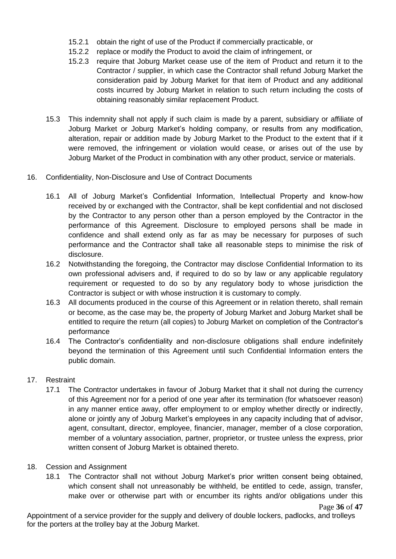- 15.2.1 obtain the right of use of the Product if commercially practicable, or
- 15.2.2 replace or modify the Product to avoid the claim of infringement, or
- 15.2.3 require that Joburg Market cease use of the item of Product and return it to the Contractor / supplier, in which case the Contractor shall refund Joburg Market the consideration paid by Joburg Market for that item of Product and any additional costs incurred by Joburg Market in relation to such return including the costs of obtaining reasonably similar replacement Product.
- 15.3 This indemnity shall not apply if such claim is made by a parent, subsidiary or affiliate of Joburg Market or Joburg Market's holding company, or results from any modification, alteration, repair or addition made by Joburg Market to the Product to the extent that if it were removed, the infringement or violation would cease, or arises out of the use by Joburg Market of the Product in combination with any other product, service or materials.
- 16. Confidentiality, Non-Disclosure and Use of Contract Documents
	- 16.1 All of Joburg Market's Confidential Information, Intellectual Property and know-how received by or exchanged with the Contractor, shall be kept confidential and not disclosed by the Contractor to any person other than a person employed by the Contractor in the performance of this Agreement. Disclosure to employed persons shall be made in confidence and shall extend only as far as may be necessary for purposes of such performance and the Contractor shall take all reasonable steps to minimise the risk of disclosure.
	- 16.2 Notwithstanding the foregoing, the Contractor may disclose Confidential Information to its own professional advisers and, if required to do so by law or any applicable regulatory requirement or requested to do so by any regulatory body to whose jurisdiction the Contractor is subject or with whose instruction it is customary to comply.
	- 16.3 All documents produced in the course of this Agreement or in relation thereto, shall remain or become, as the case may be, the property of Joburg Market and Joburg Market shall be entitled to require the return (all copies) to Joburg Market on completion of the Contractor's performance
	- 16.4 The Contractor's confidentiality and non-disclosure obligations shall endure indefinitely beyond the termination of this Agreement until such Confidential Information enters the public domain.
- 17. Restraint
	- 17.1 The Contractor undertakes in favour of Joburg Market that it shall not during the currency of this Agreement nor for a period of one year after its termination (for whatsoever reason) in any manner entice away, offer employment to or employ whether directly or indirectly, alone or jointly any of Joburg Market's employees in any capacity including that of advisor, agent, consultant, director, employee, financier, manager, member of a close corporation, member of a voluntary association, partner, proprietor, or trustee unless the express, prior written consent of Joburg Market is obtained thereto.
- 18. Cession and Assignment
	- 18.1 The Contractor shall not without Joburg Market's prior written consent being obtained, which consent shall not unreasonably be withheld, be entitled to cede, assign, transfer, make over or otherwise part with or encumber its rights and/or obligations under this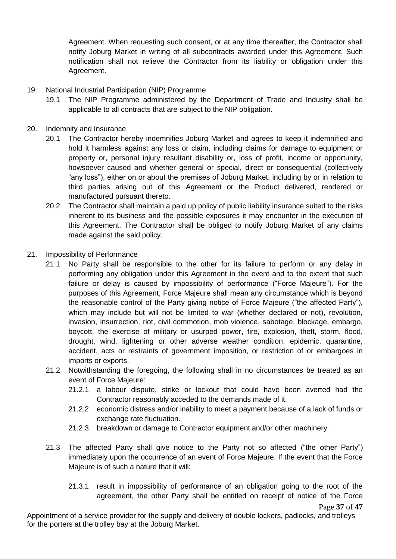Agreement. When requesting such consent, or at any time thereafter, the Contractor shall notify Joburg Market in writing of all subcontracts awarded under this Agreement. Such notification shall not relieve the Contractor from its liability or obligation under this Agreement.

- 19. National Industrial Participation (NIP) Programme
	- 19.1 The NIP Programme administered by the Department of Trade and Industry shall be applicable to all contracts that are subject to the NIP obligation.
- 20. Indemnity and Insurance
	- 20.1 The Contractor hereby indemnifies Joburg Market and agrees to keep it indemnified and hold it harmless against any loss or claim, including claims for damage to equipment or property or, personal injury resultant disability or, loss of profit, income or opportunity, howsoever caused and whether general or special, direct or consequential (collectively "any loss"), either on or about the premises of Joburg Market, including by or in relation to third parties arising out of this Agreement or the Product delivered, rendered or manufactured pursuant thereto.
	- 20.2 The Contractor shall maintain a paid up policy of public liability insurance suited to the risks inherent to its business and the possible exposures it may encounter in the execution of this Agreement. The Contractor shall be obliged to notify Joburg Market of any claims made against the said policy.
- 21. Impossibility of Performance
	- 21.1 No Party shall be responsible to the other for its failure to perform or any delay in performing any obligation under this Agreement in the event and to the extent that such failure or delay is caused by impossibility of performance ("Force Majeure"). For the purposes of this Agreement, Force Majeure shall mean any circumstance which is beyond the reasonable control of the Party giving notice of Force Majeure ("the affected Party"), which may include but will not be limited to war (whether declared or not), revolution, invasion, insurrection, riot, civil commotion, mob violence, sabotage, blockage, embargo, boycott, the exercise of military or usurped power, fire, explosion, theft, storm, flood, drought, wind, lightening or other adverse weather condition, epidemic, quarantine, accident, acts or restraints of government imposition, or restriction of or embargoes in imports or exports.
	- 21.2 Notwithstanding the foregoing, the following shall in no circumstances be treated as an event of Force Majeure:
		- 21.2.1 a labour dispute, strike or lockout that could have been averted had the Contractor reasonably acceded to the demands made of it.
		- 21.2.2 economic distress and/or inability to meet a payment because of a lack of funds or exchange rate fluctuation.
		- 21.2.3 breakdown or damage to Contractor equipment and/or other machinery.
	- 21.3 The affected Party shall give notice to the Party not so affected ("the other Party") immediately upon the occurrence of an event of Force Majeure. If the event that the Force Majeure is of such a nature that it will:
		- 21.3.1 result in impossibility of performance of an obligation going to the root of the agreement, the other Party shall be entitled on receipt of notice of the Force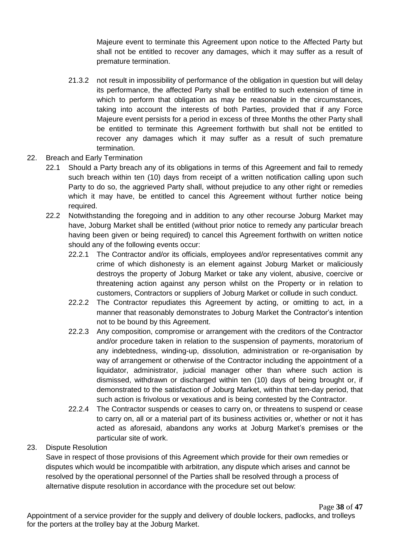Majeure event to terminate this Agreement upon notice to the Affected Party but shall not be entitled to recover any damages, which it may suffer as a result of premature termination.

- 21.3.2 not result in impossibility of performance of the obligation in question but will delay its performance, the affected Party shall be entitled to such extension of time in which to perform that obligation as may be reasonable in the circumstances, taking into account the interests of both Parties, provided that if any Force Majeure event persists for a period in excess of three Months the other Party shall be entitled to terminate this Agreement forthwith but shall not be entitled to recover any damages which it may suffer as a result of such premature termination.
- 22. Breach and Early Termination
	- 22.1 Should a Party breach any of its obligations in terms of this Agreement and fail to remedy such breach within ten (10) days from receipt of a written notification calling upon such Party to do so, the aggrieved Party shall, without prejudice to any other right or remedies which it may have, be entitled to cancel this Agreement without further notice being required.
	- 22.2 Notwithstanding the foregoing and in addition to any other recourse Joburg Market may have, Joburg Market shall be entitled (without prior notice to remedy any particular breach having been given or being required) to cancel this Agreement forthwith on written notice should any of the following events occur:
		- 22.2.1 The Contractor and/or its officials, employees and/or representatives commit any crime of which dishonesty is an element against Joburg Market or maliciously destroys the property of Joburg Market or take any violent, abusive, coercive or threatening action against any person whilst on the Property or in relation to customers, Contractors or suppliers of Joburg Market or collude in such conduct.
		- 22.2.2 The Contractor repudiates this Agreement by acting, or omitting to act, in a manner that reasonably demonstrates to Joburg Market the Contractor's intention not to be bound by this Agreement.
		- 22.2.3 Any composition, compromise or arrangement with the creditors of the Contractor and/or procedure taken in relation to the suspension of payments, moratorium of any indebtedness, winding-up, dissolution, administration or re-organisation by way of arrangement or otherwise of the Contractor including the appointment of a liquidator, administrator, judicial manager other than where such action is dismissed, withdrawn or discharged within ten (10) days of being brought or, if demonstrated to the satisfaction of Joburg Market, within that ten-day period, that such action is frivolous or vexatious and is being contested by the Contractor.
		- 22.2.4 The Contractor suspends or ceases to carry on, or threatens to suspend or cease to carry on, all or a material part of its business activities or, whether or not it has acted as aforesaid, abandons any works at Joburg Market's premises or the particular site of work.
- 23. Dispute Resolution

Save in respect of those provisions of this Agreement which provide for their own remedies or disputes which would be incompatible with arbitration, any dispute which arises and cannot be resolved by the operational personnel of the Parties shall be resolved through a process of alternative dispute resolution in accordance with the procedure set out below: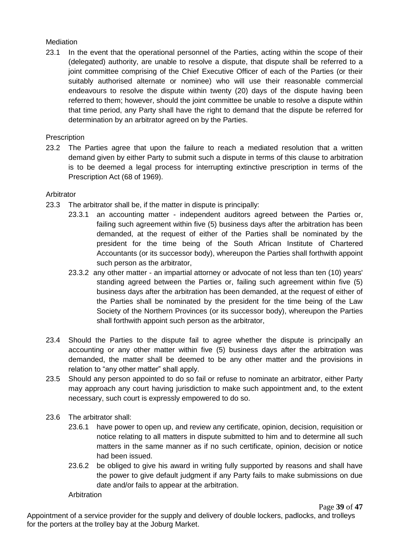### **Mediation**

23.1 In the event that the operational personnel of the Parties, acting within the scope of their (delegated) authority, are unable to resolve a dispute, that dispute shall be referred to a joint committee comprising of the Chief Executive Officer of each of the Parties (or their suitably authorised alternate or nominee) who will use their reasonable commercial endeavours to resolve the dispute within twenty (20) days of the dispute having been referred to them; however, should the joint committee be unable to resolve a dispute within that time period, any Party shall have the right to demand that the dispute be referred for determination by an arbitrator agreed on by the Parties.

### **Prescription**

23.2 The Parties agree that upon the failure to reach a mediated resolution that a written demand given by either Party to submit such a dispute in terms of this clause to arbitration is to be deemed a legal process for interrupting extinctive prescription in terms of the Prescription Act (68 of 1969).

### Arbitrator

- 23.3 The arbitrator shall be, if the matter in dispute is principally:
	- 23.3.1 an accounting matter independent auditors agreed between the Parties or, failing such agreement within five (5) business days after the arbitration has been demanded, at the request of either of the Parties shall be nominated by the president for the time being of the South African Institute of Chartered Accountants (or its successor body), whereupon the Parties shall forthwith appoint such person as the arbitrator,
		- 23.3.2 any other matter an impartial attorney or advocate of not less than ten (10) years' standing agreed between the Parties or, failing such agreement within five (5) business days after the arbitration has been demanded, at the request of either of the Parties shall be nominated by the president for the time being of the Law Society of the Northern Provinces (or its successor body), whereupon the Parties shall forthwith appoint such person as the arbitrator,
- 23.4 Should the Parties to the dispute fail to agree whether the dispute is principally an accounting or any other matter within five (5) business days after the arbitration was demanded, the matter shall be deemed to be any other matter and the provisions in relation to "any other matter" shall apply.
- 23.5 Should any person appointed to do so fail or refuse to nominate an arbitrator, either Party may approach any court having jurisdiction to make such appointment and, to the extent necessary, such court is expressly empowered to do so.
- 23.6 The arbitrator shall:
	- 23.6.1 have power to open up, and review any certificate, opinion, decision, requisition or notice relating to all matters in dispute submitted to him and to determine all such matters in the same manner as if no such certificate, opinion, decision or notice had been issued.
	- 23.6.2 be obliged to give his award in writing fully supported by reasons and shall have the power to give default judgment if any Party fails to make submissions on due date and/or fails to appear at the arbitration.

#### **Arbitration**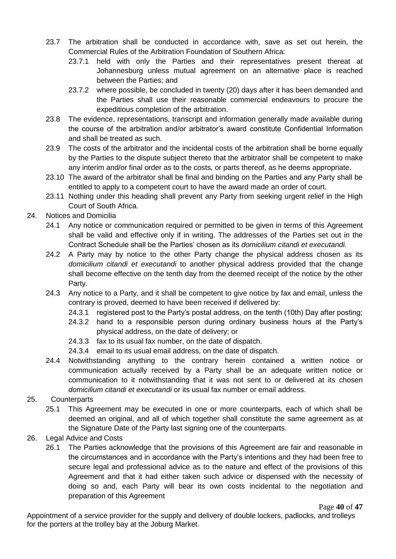- 23.7 The arbitration shall be conducted in accordance with, save as set out herein, the Commercial Rules of the Arbitration Foundation of Southern Africa:
	- 23.7.1 held with only the Parties and their representatives present thereat at Johannesburg unless mutual agreement on an alternative place is reached between the Parties; and
	- 23.7.2 where possible, be concluded in twenty (20) days after it has been demanded and the Parties shall use their reasonable commercial endeavours to procure the expeditious completion of the arbitration.
- 23.8 The evidence, representations, transcript and information generally made available during the course of the arbitration and/or arbitrator's award constitute Confidential Information and shall be treated as such.
- 23.9 The costs of the arbitrator and the incidental costs of the arbitration shall be borne equally by the Parties to the dispute subject thereto that the arbitrator shall be competent to make any interim and/or final order as to the costs, or parts thereof, as he deems appropriate.
- 23.10 The award of the arbitrator shall be final and binding on the Parties and any Party shall be entitled to apply to a competent court to have the award made an order of court.
- 23.11 Nothing under this heading shall prevent any Party from seeking urgent relief in the High Court of South Africa.
- 24. Notices and Domicilia
	- 24.1 Any notice or communication required or permitted to be given in terms of this Agreement shall be valid and effective only if in writing. The addresses of the Parties set out in the Contract Schedule shall be the Parties' chosen as its *domicilium citandi et executandi.*
	- 24.2 A Party may by notice to the other Party change the physical address chosen as its *domicilium citandi et executandi* to another physical address provided that the change shall become effective on the tenth day from the deemed receipt of the notice by the other Party.
	- 24.3 Any notice to a Party, and it shall be competent to give notice by fax and email, unless the contrary is proved, deemed to have been received if delivered by:
		- 24.3.1 registered post to the Party's postal address, on the tenth (10th) Day after posting;
		- 24.3.2 hand to a responsible person during ordinary business hours at the Party's physical address, on the date of delivery; or
		- 24.3.3 fax to its usual fax number, on the date of dispatch.
		- 24.3.4 email to its usual email address, on the date of dispatch.
	- 24.4 Notwithstanding anything to the contrary herein contained a written notice or communication actually received by a Party shall be an adequate written notice or communication to it notwithstanding that it was not sent to or delivered at its chosen *domicilium citandi et executandi* or its usual fax number or email address.
- 25. Counterparts
	- 25.1 This Agreement may be executed in one or more counterparts, each of which shall be deemed an original, and all of which together shall constitute the same agreement as at the Signature Date of the Party last signing one of the counterparts.
- 26. Legal Advice and Costs
	- 26.1 The Parties acknowledge that the provisions of this Agreement are fair and reasonable in the circumstances and in accordance with the Party's intentions and they had been free to secure legal and professional advice as to the nature and effect of the provisions of this Agreement and that it had either taken such advice or dispensed with the necessity of doing so and, each Party will bear its own costs incidental to the negotiation and preparation of this Agreement

Page **40** of **47**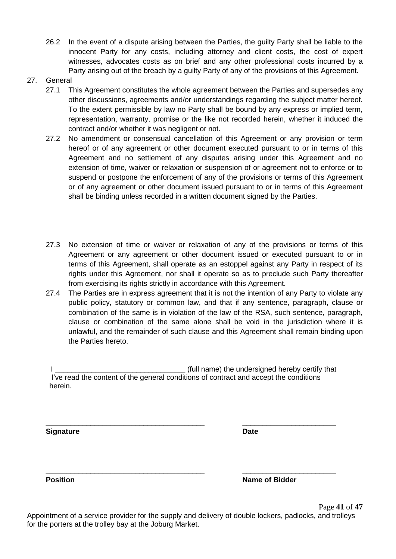- 26.2 In the event of a dispute arising between the Parties, the guilty Party shall be liable to the innocent Party for any costs, including attorney and client costs, the cost of expert witnesses, advocates costs as on brief and any other professional costs incurred by a Party arising out of the breach by a quilty Party of any of the provisions of this Agreement.
- 27. General
	- 27.1 This Agreement constitutes the whole agreement between the Parties and supersedes any other discussions, agreements and/or understandings regarding the subject matter hereof. To the extent permissible by law no Party shall be bound by any express or implied term, representation, warranty, promise or the like not recorded herein, whether it induced the contract and/or whether it was negligent or not.
	- 27.2 No amendment or consensual cancellation of this Agreement or any provision or term hereof or of any agreement or other document executed pursuant to or in terms of this Agreement and no settlement of any disputes arising under this Agreement and no extension of time, waiver or relaxation or suspension of or agreement not to enforce or to suspend or postpone the enforcement of any of the provisions or terms of this Agreement or of any agreement or other document issued pursuant to or in terms of this Agreement shall be binding unless recorded in a written document signed by the Parties.
	- 27.3 No extension of time or waiver or relaxation of any of the provisions or terms of this Agreement or any agreement or other document issued or executed pursuant to or in terms of this Agreement, shall operate as an estoppel against any Party in respect of its rights under this Agreement, nor shall it operate so as to preclude such Party thereafter from exercising its rights strictly in accordance with this Agreement.
	- 27.4 The Parties are in express agreement that it is not the intention of any Party to violate any public policy, statutory or common law, and that if any sentence, paragraph, clause or combination of the same is in violation of the law of the RSA, such sentence, paragraph, clause or combination of the same alone shall be void in the jurisdiction where it is unlawful, and the remainder of such clause and this Agreement shall remain binding upon the Parties hereto.

(full name) the undersigned hereby certify that I've read the content of the general conditions of contract and accept the conditions herein.

\_\_\_\_\_\_\_\_\_\_\_\_\_\_\_\_\_\_\_\_\_\_\_\_\_\_\_\_\_\_\_\_\_\_\_\_\_\_\_ \_\_\_\_\_\_\_\_\_\_\_\_\_\_\_\_\_\_\_\_\_\_\_

\_\_\_\_\_\_\_\_\_\_\_\_\_\_\_\_\_\_\_\_\_\_\_\_\_\_\_\_\_\_\_\_\_\_\_\_\_\_\_ \_\_\_\_\_\_\_\_\_\_\_\_\_\_\_\_\_\_\_\_\_\_\_

**Signature Date**

**Position Position Name of Bidder**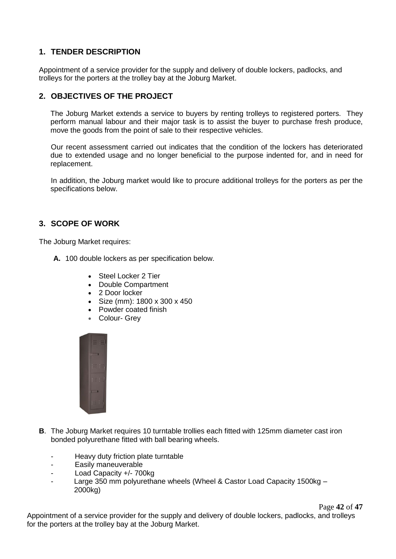### **1. TENDER DESCRIPTION**

Appointment of a service provider for the supply and delivery of double lockers, padlocks, and trolleys for the porters at the trolley bay at the Joburg Market.

### **2. OBJECTIVES OF THE PROJECT**

The Joburg Market extends a service to buyers by renting trolleys to registered porters. They perform manual labour and their major task is to assist the buyer to purchase fresh produce, move the goods from the point of sale to their respective vehicles.

Our recent assessment carried out indicates that the condition of the lockers has deteriorated due to extended usage and no longer beneficial to the purpose indented for, and in need for replacement.

In addition, the Joburg market would like to procure additional trolleys for the porters as per the specifications below.

### **3. SCOPE OF WORK**

The Joburg Market requires:

- **A.** 100 double lockers as per specification below.
	- Steel Locker 2 Tier
	- Double Compartment
	- 2 Door locker
	- Size (mm): 1800 x 300 x 450
	- Powder coated finish
	- Colour- Grey



- **B**. The Joburg Market requires 10 turntable trollies each fitted with 125mm diameter cast iron bonded polyurethane fitted with ball bearing wheels.
	- Heavy duty friction plate turntable
	- Easily maneuverable
	- Load Capacity +/- 700kg
	- Large 350 mm polyurethane wheels (Wheel & Castor Load Capacity 1500kg -2000kg)

Page **42** of **47**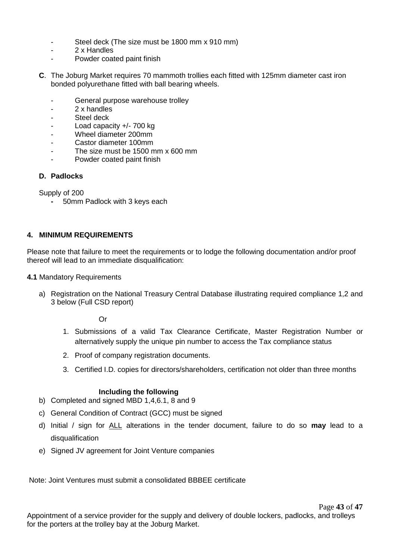- Steel deck (The size must be 1800 mm x 910 mm)
- 2 x Handles
- Powder coated paint finish
- **C**. The Joburg Market requires 70 mammoth trollies each fitted with 125mm diameter cast iron bonded polyurethane fitted with ball bearing wheels.
	- General purpose warehouse trolley
	- 2 x handles
	- Steel deck
	- Load capacity  $+/- 700$  kg
	- Wheel diameter 200mm
	- Castor diameter 100mm
	- The size must be 1500 mm x 600 mm
	- Powder coated paint finish

### **D. Padlocks**

Supply of 200

**-** 50mm Padlock with 3 keys each

### **4. MINIMUM REQUIREMENTS**

Please note that failure to meet the requirements or to lodge the following documentation and/or proof thereof will lead to an immediate disqualification:

- **4.1** Mandatory Requirements
	- a) Registration on the National Treasury Central Database illustrating required compliance 1,2 and 3 below (Full CSD report)

Or

- 1. Submissions of a valid Tax Clearance Certificate, Master Registration Number or alternatively supply the unique pin number to access the Tax compliance status
- 2. Proof of company registration documents.
- 3. Certified I.D. copies for directors/shareholders, certification not older than three months

#### **Including the following**

- b) Completed and signed MBD 1,4,6.1, 8 and 9
- c) General Condition of Contract (GCC) must be signed
- d) Initial / sign for ALL alterations in the tender document, failure to do so **may** lead to a disqualification
- e) Signed JV agreement for Joint Venture companies

Note: Joint Ventures must submit a consolidated BBBEE certificate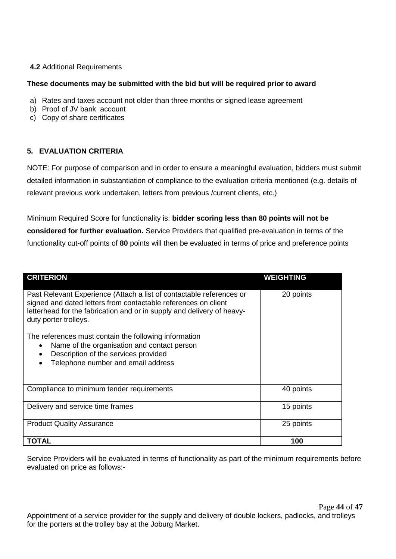### **4.2** Additional Requirements

### **These documents may be submitted with the bid but will be required prior to award**

- a) Rates and taxes account not older than three months or signed lease agreement
- b) Proof of JV bank account
- c) Copy of share certificates

### **5. EVALUATION CRITERIA**

NOTE: For purpose of comparison and in order to ensure a meaningful evaluation, bidders must submit detailed information in substantiation of compliance to the evaluation criteria mentioned (e.g. details of relevant previous work undertaken, letters from previous /current clients, etc.)

Minimum Required Score for functionality is: **bidder scoring less than 80 points will not be considered for further evaluation.** Service Providers that qualified pre-evaluation in terms of the functionality cut-off points of **80** points will then be evaluated in terms of price and preference points

| <b>CRITERION</b>                                                                                                                                                                                                                          | <b>WEIGHTING</b> |
|-------------------------------------------------------------------------------------------------------------------------------------------------------------------------------------------------------------------------------------------|------------------|
| Past Relevant Experience (Attach a list of contactable references or<br>signed and dated letters from contactable references on client<br>letterhead for the fabrication and or in supply and delivery of heavy-<br>duty porter trolleys. | 20 points        |
| The references must contain the following information<br>Name of the organisation and contact person<br>$\bullet$<br>Description of the services provided<br>Telephone number and email address                                           |                  |
| Compliance to minimum tender requirements                                                                                                                                                                                                 | 40 points        |
| Delivery and service time frames                                                                                                                                                                                                          | 15 points        |
| <b>Product Quality Assurance</b>                                                                                                                                                                                                          | 25 points        |
| TOTAL                                                                                                                                                                                                                                     | 100              |

Service Providers will be evaluated in terms of functionality as part of the minimum requirements before evaluated on price as follows:-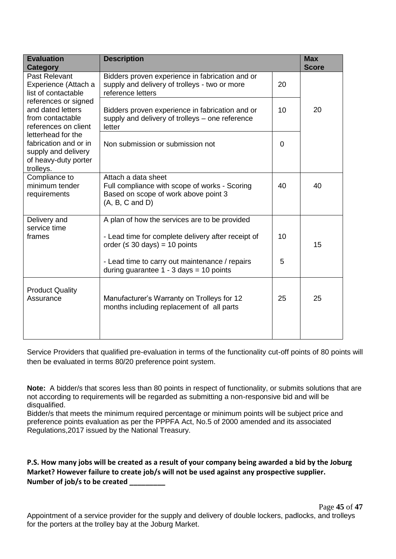| <b>Evaluation</b><br><b>Category</b>                                                                                           | <b>Description</b>                                                                                                               |    | <b>Max</b><br><b>Score</b> |
|--------------------------------------------------------------------------------------------------------------------------------|----------------------------------------------------------------------------------------------------------------------------------|----|----------------------------|
| Past Relevant<br>Experience (Attach a<br>list of contactable                                                                   | Bidders proven experience in fabrication and or<br>supply and delivery of trolleys - two or more<br>reference letters            | 20 |                            |
| references or signed<br>and dated letters<br>from contactable<br>references on client                                          | Bidders proven experience in fabrication and or<br>supply and delivery of trolleys - one reference<br>letter                     | 10 | 20                         |
| letterhead for the<br>fabrication and or in<br>supply and delivery<br>of heavy-duty porter<br>trolleys.                        | Non submission or submission not                                                                                                 | 0  |                            |
| Compliance to<br>minimum tender<br>requirements                                                                                | Attach a data sheet<br>Full compliance with scope of works - Scoring<br>Based on scope of work above point 3<br>(A, B, C, and D) | 40 | 40                         |
| Delivery and<br>service time                                                                                                   | A plan of how the services are to be provided                                                                                    |    |                            |
| frames                                                                                                                         | - Lead time for complete delivery after receipt of<br>order $( \leq 30 \text{ days}) = 10 \text{ points}$                        | 10 | 15                         |
|                                                                                                                                | - Lead time to carry out maintenance / repairs<br>during guarantee $1 - 3$ days = 10 points                                      | 5  |                            |
| <b>Product Quality</b><br>Manufacturer's Warranty on Trolleys for 12<br>Assurance<br>months including replacement of all parts |                                                                                                                                  | 25 | 25                         |

Service Providers that qualified pre-evaluation in terms of the functionality cut-off points of 80 points will then be evaluated in terms 80/20 preference point system.

**Note:** A bidder/s that scores less than 80 points in respect of functionality, or submits solutions that are not according to requirements will be regarded as submitting a non-responsive bid and will be disqualified.

Bidder/s that meets the minimum required percentage or minimum points will be subject price and preference points evaluation as per the PPPFA Act, No.5 of 2000 amended and its associated Regulations,2017 issued by the National Treasury.

**P.S. How many jobs will be created as a result of your company being awarded a bid by the Joburg Market? However failure to create job/s will not be used against any prospective supplier. Number of job/s to be created \_\_\_\_\_\_\_\_\_**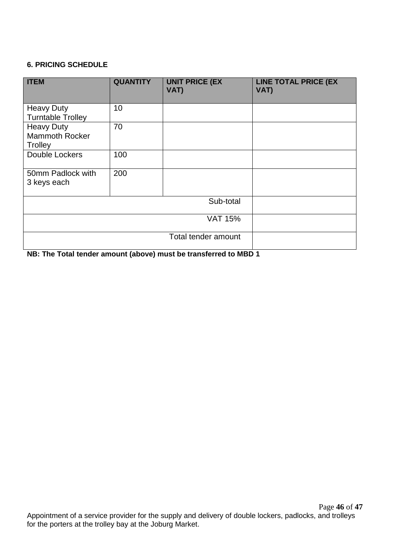### **6. PRICING SCHEDULE**

| <b>ITEM</b>                                           | <b>QUANTITY</b>     | <b>UNIT PRICE (EX</b><br>VAT) | <b>LINE TOTAL PRICE (EX</b><br>VAT) |  |
|-------------------------------------------------------|---------------------|-------------------------------|-------------------------------------|--|
| <b>Heavy Duty</b><br><b>Turntable Trolley</b>         | 10                  |                               |                                     |  |
| <b>Heavy Duty</b><br><b>Mammoth Rocker</b><br>Trolley | 70                  |                               |                                     |  |
| Double Lockers                                        | 100                 |                               |                                     |  |
| 50mm Padlock with<br>3 keys each                      | 200                 |                               |                                     |  |
| Sub-total                                             |                     |                               |                                     |  |
|                                                       | <b>VAT 15%</b>      |                               |                                     |  |
|                                                       | Total tender amount |                               |                                     |  |

**NB: The Total tender amount (above) must be transferred to MBD 1**